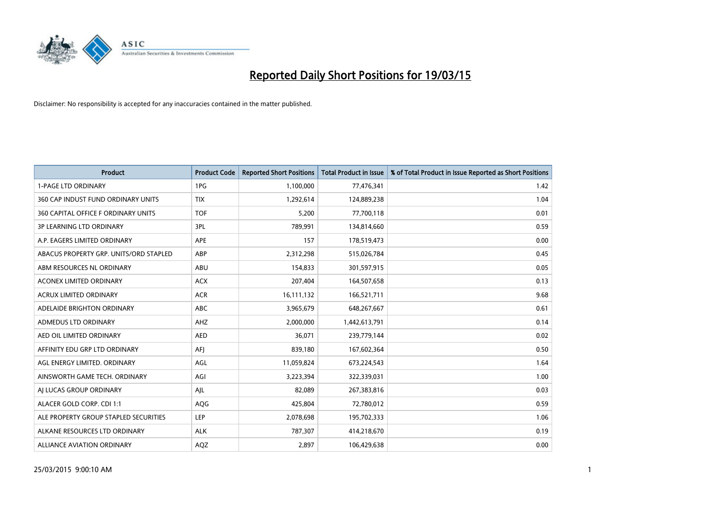

| <b>Product</b>                         | <b>Product Code</b> | <b>Reported Short Positions</b> | <b>Total Product in Issue</b> | % of Total Product in Issue Reported as Short Positions |
|----------------------------------------|---------------------|---------------------------------|-------------------------------|---------------------------------------------------------|
| <b>1-PAGE LTD ORDINARY</b>             | 1PG                 | 1,100,000                       | 77,476,341                    | 1.42                                                    |
| 360 CAP INDUST FUND ORDINARY UNITS     | <b>TIX</b>          | 1,292,614                       | 124,889,238                   | 1.04                                                    |
| 360 CAPITAL OFFICE F ORDINARY UNITS    | <b>TOF</b>          | 5,200                           | 77,700,118                    | 0.01                                                    |
| <b>3P LEARNING LTD ORDINARY</b>        | 3PL                 | 789,991                         | 134,814,660                   | 0.59                                                    |
| A.P. EAGERS LIMITED ORDINARY           | <b>APE</b>          | 157                             | 178,519,473                   | 0.00                                                    |
| ABACUS PROPERTY GRP. UNITS/ORD STAPLED | ABP                 | 2,312,298                       | 515,026,784                   | 0.45                                                    |
| ABM RESOURCES NL ORDINARY              | ABU                 | 154,833                         | 301,597,915                   | 0.05                                                    |
| ACONEX LIMITED ORDINARY                | <b>ACX</b>          | 207,404                         | 164,507,658                   | 0.13                                                    |
| <b>ACRUX LIMITED ORDINARY</b>          | <b>ACR</b>          | 16,111,132                      | 166,521,711                   | 9.68                                                    |
| ADELAIDE BRIGHTON ORDINARY             | <b>ABC</b>          | 3,965,679                       | 648,267,667                   | 0.61                                                    |
| ADMEDUS LTD ORDINARY                   | AHZ                 | 2,000,000                       | 1,442,613,791                 | 0.14                                                    |
| AED OIL LIMITED ORDINARY               | <b>AED</b>          | 36,071                          | 239,779,144                   | 0.02                                                    |
| AFFINITY EDU GRP LTD ORDINARY          | AFI                 | 839,180                         | 167,602,364                   | 0.50                                                    |
| AGL ENERGY LIMITED. ORDINARY           | AGL                 | 11,059,824                      | 673,224,543                   | 1.64                                                    |
| AINSWORTH GAME TECH. ORDINARY          | AGI                 | 3,223,394                       | 322,339,031                   | 1.00                                                    |
| AI LUCAS GROUP ORDINARY                | AJL                 | 82,089                          | 267,383,816                   | 0.03                                                    |
| ALACER GOLD CORP. CDI 1:1              | AQG                 | 425,804                         | 72,780,012                    | 0.59                                                    |
| ALE PROPERTY GROUP STAPLED SECURITIES  | <b>LEP</b>          | 2,078,698                       | 195,702,333                   | 1.06                                                    |
| ALKANE RESOURCES LTD ORDINARY          | <b>ALK</b>          | 787,307                         | 414,218,670                   | 0.19                                                    |
| ALLIANCE AVIATION ORDINARY             | <b>AQZ</b>          | 2,897                           | 106,429,638                   | 0.00                                                    |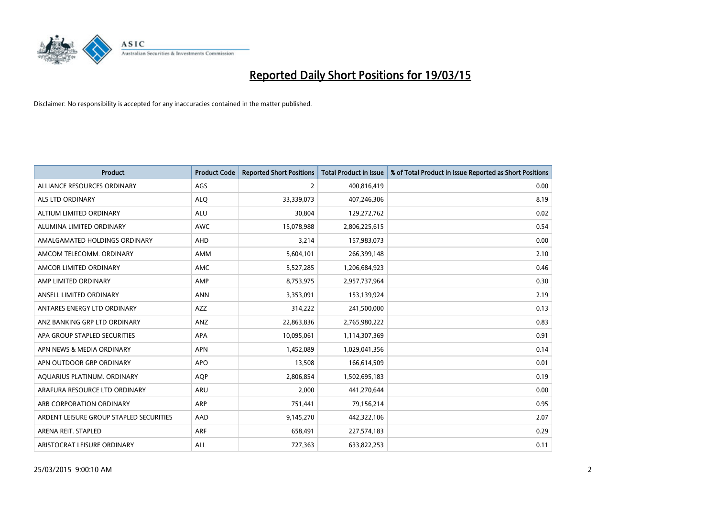

| <b>Product</b>                          | <b>Product Code</b> | <b>Reported Short Positions</b> | <b>Total Product in Issue</b> | % of Total Product in Issue Reported as Short Positions |
|-----------------------------------------|---------------------|---------------------------------|-------------------------------|---------------------------------------------------------|
| ALLIANCE RESOURCES ORDINARY             | AGS                 | 2                               | 400,816,419                   | 0.00                                                    |
| ALS LTD ORDINARY                        | <b>ALQ</b>          | 33,339,073                      | 407,246,306                   | 8.19                                                    |
| ALTIUM LIMITED ORDINARY                 | <b>ALU</b>          | 30,804                          | 129,272,762                   | 0.02                                                    |
| ALUMINA LIMITED ORDINARY                | <b>AWC</b>          | 15,078,988                      | 2,806,225,615                 | 0.54                                                    |
| AMALGAMATED HOLDINGS ORDINARY           | AHD                 | 3,214                           | 157,983,073                   | 0.00                                                    |
| AMCOM TELECOMM, ORDINARY                | AMM                 | 5,604,101                       | 266,399,148                   | 2.10                                                    |
| AMCOR LIMITED ORDINARY                  | AMC                 | 5,527,285                       | 1,206,684,923                 | 0.46                                                    |
| AMP LIMITED ORDINARY                    | AMP                 | 8,753,975                       | 2,957,737,964                 | 0.30                                                    |
| ANSELL LIMITED ORDINARY                 | <b>ANN</b>          | 3,353,091                       | 153,139,924                   | 2.19                                                    |
| ANTARES ENERGY LTD ORDINARY             | AZZ                 | 314,222                         | 241,500,000                   | 0.13                                                    |
| ANZ BANKING GRP LTD ORDINARY            | ANZ                 | 22,863,836                      | 2,765,980,222                 | 0.83                                                    |
| APA GROUP STAPLED SECURITIES            | APA                 | 10,095,061                      | 1,114,307,369                 | 0.91                                                    |
| APN NEWS & MEDIA ORDINARY               | <b>APN</b>          | 1,452,089                       | 1,029,041,356                 | 0.14                                                    |
| APN OUTDOOR GRP ORDINARY                | <b>APO</b>          | 13,508                          | 166,614,509                   | 0.01                                                    |
| AQUARIUS PLATINUM. ORDINARY             | AQP                 | 2,806,854                       | 1,502,695,183                 | 0.19                                                    |
| ARAFURA RESOURCE LTD ORDINARY           | ARU                 | 2,000                           | 441,270,644                   | 0.00                                                    |
| ARB CORPORATION ORDINARY                | ARP                 | 751,441                         | 79,156,214                    | 0.95                                                    |
| ARDENT LEISURE GROUP STAPLED SECURITIES | AAD                 | 9,145,270                       | 442,322,106                   | 2.07                                                    |
| ARENA REIT. STAPLED                     | ARF                 | 658,491                         | 227,574,183                   | 0.29                                                    |
| ARISTOCRAT LEISURE ORDINARY             | ALL                 | 727,363                         | 633,822,253                   | 0.11                                                    |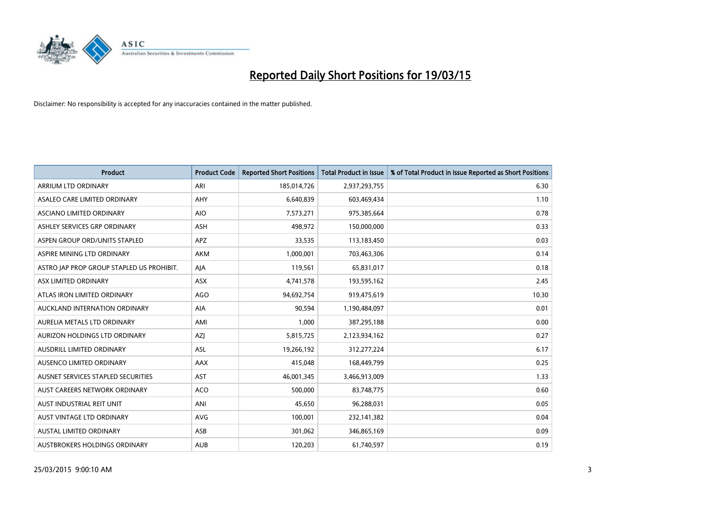

| <b>Product</b>                            | <b>Product Code</b> | <b>Reported Short Positions</b> | <b>Total Product in Issue</b> | % of Total Product in Issue Reported as Short Positions |
|-------------------------------------------|---------------------|---------------------------------|-------------------------------|---------------------------------------------------------|
| <b>ARRIUM LTD ORDINARY</b>                | ARI                 | 185,014,726                     | 2,937,293,755                 | 6.30                                                    |
| ASALEO CARE LIMITED ORDINARY              | AHY                 | 6,640,839                       | 603,469,434                   | 1.10                                                    |
| ASCIANO LIMITED ORDINARY                  | <b>AIO</b>          | 7,573,271                       | 975,385,664                   | 0.78                                                    |
| ASHLEY SERVICES GRP ORDINARY              | <b>ASH</b>          | 498,972                         | 150,000,000                   | 0.33                                                    |
| ASPEN GROUP ORD/UNITS STAPLED             | APZ                 | 33,535                          | 113,183,450                   | 0.03                                                    |
| ASPIRE MINING LTD ORDINARY                | <b>AKM</b>          | 1,000,001                       | 703,463,306                   | 0.14                                                    |
| ASTRO JAP PROP GROUP STAPLED US PROHIBIT. | AJA                 | 119,561                         | 65,831,017                    | 0.18                                                    |
| ASX LIMITED ORDINARY                      | ASX                 | 4,741,578                       | 193,595,162                   | 2.45                                                    |
| ATLAS IRON LIMITED ORDINARY               | <b>AGO</b>          | 94,692,754                      | 919,475,619                   | 10.30                                                   |
| AUCKLAND INTERNATION ORDINARY             | <b>AIA</b>          | 90,594                          | 1,190,484,097                 | 0.01                                                    |
| AURELIA METALS LTD ORDINARY               | AMI                 | 1,000                           | 387,295,188                   | 0.00                                                    |
| AURIZON HOLDINGS LTD ORDINARY             | AZJ                 | 5,815,725                       | 2,123,934,162                 | 0.27                                                    |
| AUSDRILL LIMITED ORDINARY                 | ASL                 | 19,266,192                      | 312,277,224                   | 6.17                                                    |
| AUSENCO LIMITED ORDINARY                  | AAX                 | 415,048                         | 168,449,799                   | 0.25                                                    |
| AUSNET SERVICES STAPLED SECURITIES        | AST                 | 46,001,345                      | 3,466,913,009                 | 1.33                                                    |
| AUST CAREERS NETWORK ORDINARY             | <b>ACO</b>          | 500,000                         | 83,748,775                    | 0.60                                                    |
| AUST INDUSTRIAL REIT UNIT                 | ANI                 | 45,650                          | 96,288,031                    | 0.05                                                    |
| AUST VINTAGE LTD ORDINARY                 | <b>AVG</b>          | 100,001                         | 232,141,382                   | 0.04                                                    |
| <b>AUSTAL LIMITED ORDINARY</b>            | ASB                 | 301,062                         | 346,865,169                   | 0.09                                                    |
| AUSTBROKERS HOLDINGS ORDINARY             | <b>AUB</b>          | 120,203                         | 61,740,597                    | 0.19                                                    |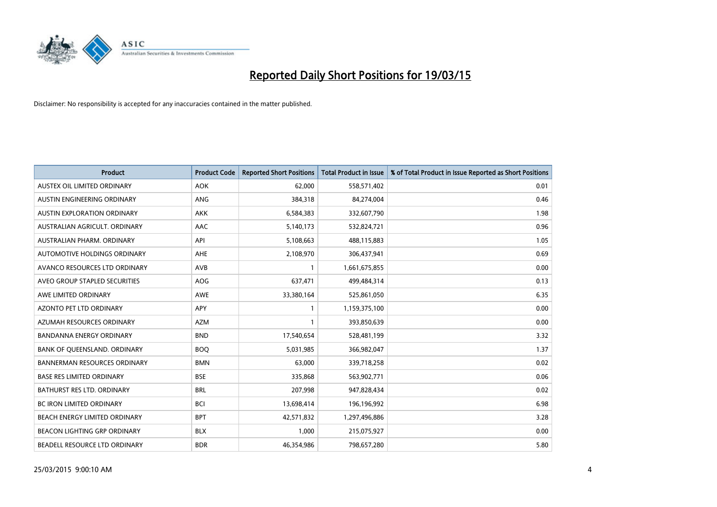

| <b>Product</b>                      | <b>Product Code</b> | <b>Reported Short Positions</b> | <b>Total Product in Issue</b> | % of Total Product in Issue Reported as Short Positions |
|-------------------------------------|---------------------|---------------------------------|-------------------------------|---------------------------------------------------------|
| AUSTEX OIL LIMITED ORDINARY         | <b>AOK</b>          | 62,000                          | 558,571,402                   | 0.01                                                    |
| AUSTIN ENGINEERING ORDINARY         | ANG                 | 384,318                         | 84,274,004                    | 0.46                                                    |
| <b>AUSTIN EXPLORATION ORDINARY</b>  | <b>AKK</b>          | 6,584,383                       | 332,607,790                   | 1.98                                                    |
| AUSTRALIAN AGRICULT. ORDINARY       | AAC                 | 5,140,173                       | 532,824,721                   | 0.96                                                    |
| AUSTRALIAN PHARM, ORDINARY          | API                 | 5,108,663                       | 488,115,883                   | 1.05                                                    |
| AUTOMOTIVE HOLDINGS ORDINARY        | AHE                 | 2,108,970                       | 306,437,941                   | 0.69                                                    |
| AVANCO RESOURCES LTD ORDINARY       | AVB                 | 1                               | 1,661,675,855                 | 0.00                                                    |
| AVEO GROUP STAPLED SECURITIES       | <b>AOG</b>          | 637,471                         | 499,484,314                   | 0.13                                                    |
| AWE LIMITED ORDINARY                | <b>AWE</b>          | 33,380,164                      | 525,861,050                   | 6.35                                                    |
| <b>AZONTO PET LTD ORDINARY</b>      | APY                 | $\mathbf{1}$                    | 1,159,375,100                 | 0.00                                                    |
| AZUMAH RESOURCES ORDINARY           | <b>AZM</b>          |                                 | 393,850,639                   | 0.00                                                    |
| <b>BANDANNA ENERGY ORDINARY</b>     | <b>BND</b>          | 17,540,654                      | 528,481,199                   | 3.32                                                    |
| BANK OF QUEENSLAND. ORDINARY        | <b>BOO</b>          | 5,031,985                       | 366,982,047                   | 1.37                                                    |
| <b>BANNERMAN RESOURCES ORDINARY</b> | <b>BMN</b>          | 63,000                          | 339,718,258                   | 0.02                                                    |
| <b>BASE RES LIMITED ORDINARY</b>    | <b>BSE</b>          | 335,868                         | 563,902,771                   | 0.06                                                    |
| BATHURST RES LTD. ORDINARY          | <b>BRL</b>          | 207,998                         | 947,828,434                   | 0.02                                                    |
| BC IRON LIMITED ORDINARY            | <b>BCI</b>          | 13,698,414                      | 196,196,992                   | 6.98                                                    |
| BEACH ENERGY LIMITED ORDINARY       | <b>BPT</b>          | 42,571,832                      | 1,297,496,886                 | 3.28                                                    |
| <b>BEACON LIGHTING GRP ORDINARY</b> | <b>BLX</b>          | 1,000                           | 215,075,927                   | 0.00                                                    |
| BEADELL RESOURCE LTD ORDINARY       | <b>BDR</b>          | 46,354,986                      | 798,657,280                   | 5.80                                                    |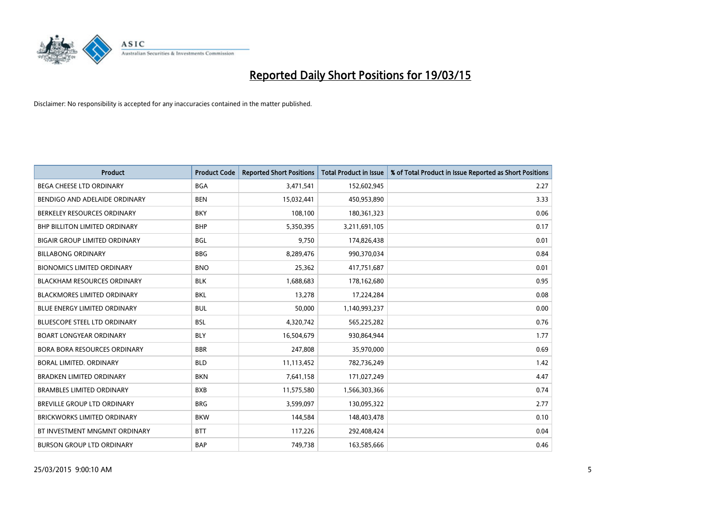

| <b>Product</b>                       | <b>Product Code</b> | <b>Reported Short Positions</b> | <b>Total Product in Issue</b> | % of Total Product in Issue Reported as Short Positions |
|--------------------------------------|---------------------|---------------------------------|-------------------------------|---------------------------------------------------------|
| <b>BEGA CHEESE LTD ORDINARY</b>      | <b>BGA</b>          | 3,471,541                       | 152,602,945                   | 2.27                                                    |
| BENDIGO AND ADELAIDE ORDINARY        | <b>BEN</b>          | 15,032,441                      | 450,953,890                   | 3.33                                                    |
| BERKELEY RESOURCES ORDINARY          | <b>BKY</b>          | 108,100                         | 180,361,323                   | 0.06                                                    |
| BHP BILLITON LIMITED ORDINARY        | <b>BHP</b>          | 5,350,395                       | 3,211,691,105                 | 0.17                                                    |
| <b>BIGAIR GROUP LIMITED ORDINARY</b> | <b>BGL</b>          | 9,750                           | 174,826,438                   | 0.01                                                    |
| <b>BILLABONG ORDINARY</b>            | <b>BBG</b>          | 8,289,476                       | 990,370,034                   | 0.84                                                    |
| <b>BIONOMICS LIMITED ORDINARY</b>    | <b>BNO</b>          | 25,362                          | 417,751,687                   | 0.01                                                    |
| <b>BLACKHAM RESOURCES ORDINARY</b>   | <b>BLK</b>          | 1,688,683                       | 178,162,680                   | 0.95                                                    |
| <b>BLACKMORES LIMITED ORDINARY</b>   | <b>BKL</b>          | 13,278                          | 17,224,284                    | 0.08                                                    |
| <b>BLUE ENERGY LIMITED ORDINARY</b>  | <b>BUL</b>          | 50,000                          | 1,140,993,237                 | 0.00                                                    |
| BLUESCOPE STEEL LTD ORDINARY         | <b>BSL</b>          | 4,320,742                       | 565,225,282                   | 0.76                                                    |
| <b>BOART LONGYEAR ORDINARY</b>       | <b>BLY</b>          | 16,504,679                      | 930,864,944                   | 1.77                                                    |
| <b>BORA BORA RESOURCES ORDINARY</b>  | <b>BBR</b>          | 247,808                         | 35,970,000                    | 0.69                                                    |
| <b>BORAL LIMITED, ORDINARY</b>       | <b>BLD</b>          | 11,113,452                      | 782,736,249                   | 1.42                                                    |
| <b>BRADKEN LIMITED ORDINARY</b>      | <b>BKN</b>          | 7,641,158                       | 171,027,249                   | 4.47                                                    |
| <b>BRAMBLES LIMITED ORDINARY</b>     | <b>BXB</b>          | 11,575,580                      | 1,566,303,366                 | 0.74                                                    |
| BREVILLE GROUP LTD ORDINARY          | <b>BRG</b>          | 3,599,097                       | 130,095,322                   | 2.77                                                    |
| <b>BRICKWORKS LIMITED ORDINARY</b>   | <b>BKW</b>          | 144,584                         | 148,403,478                   | 0.10                                                    |
| BT INVESTMENT MNGMNT ORDINARY        | <b>BTT</b>          | 117,226                         | 292,408,424                   | 0.04                                                    |
| <b>BURSON GROUP LTD ORDINARY</b>     | <b>BAP</b>          | 749,738                         | 163,585,666                   | 0.46                                                    |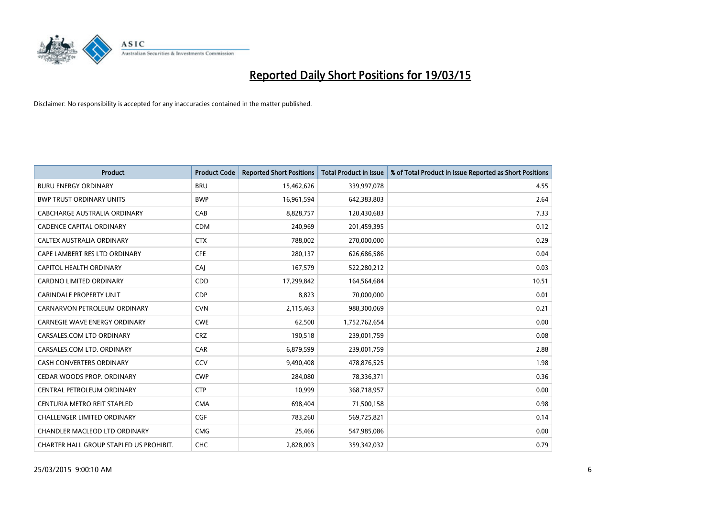

| <b>Product</b>                          | <b>Product Code</b> | <b>Reported Short Positions</b> | <b>Total Product in Issue</b> | % of Total Product in Issue Reported as Short Positions |
|-----------------------------------------|---------------------|---------------------------------|-------------------------------|---------------------------------------------------------|
| <b>BURU ENERGY ORDINARY</b>             | <b>BRU</b>          | 15,462,626                      | 339,997,078                   | 4.55                                                    |
| <b>BWP TRUST ORDINARY UNITS</b>         | <b>BWP</b>          | 16,961,594                      | 642,383,803                   | 2.64                                                    |
| CABCHARGE AUSTRALIA ORDINARY            | CAB                 | 8,828,757                       | 120,430,683                   | 7.33                                                    |
| <b>CADENCE CAPITAL ORDINARY</b>         | <b>CDM</b>          | 240,969                         | 201,459,395                   | 0.12                                                    |
| CALTEX AUSTRALIA ORDINARY               | <b>CTX</b>          | 788,002                         | 270,000,000                   | 0.29                                                    |
| CAPE LAMBERT RES LTD ORDINARY           | <b>CFE</b>          | 280,137                         | 626,686,586                   | 0.04                                                    |
| <b>CAPITOL HEALTH ORDINARY</b>          | CAJ                 | 167,579                         | 522,280,212                   | 0.03                                                    |
| CARDNO LIMITED ORDINARY                 | CDD                 | 17,299,842                      | 164,564,684                   | 10.51                                                   |
| <b>CARINDALE PROPERTY UNIT</b>          | <b>CDP</b>          | 8,823                           | 70,000,000                    | 0.01                                                    |
| CARNARVON PETROLEUM ORDINARY            | <b>CVN</b>          | 2,115,463                       | 988,300,069                   | 0.21                                                    |
| CARNEGIE WAVE ENERGY ORDINARY           | <b>CWE</b>          | 62,500                          | 1,752,762,654                 | 0.00                                                    |
| CARSALES.COM LTD ORDINARY               | <b>CRZ</b>          | 190,518                         | 239,001,759                   | 0.08                                                    |
| CARSALES.COM LTD. ORDINARY              | <b>CAR</b>          | 6,879,599                       | 239,001,759                   | 2.88                                                    |
| <b>CASH CONVERTERS ORDINARY</b>         | CCV                 | 9,490,408                       | 478,876,525                   | 1.98                                                    |
| CEDAR WOODS PROP. ORDINARY              | <b>CWP</b>          | 284,080                         | 78,336,371                    | 0.36                                                    |
| CENTRAL PETROLEUM ORDINARY              | <b>CTP</b>          | 10,999                          | 368,718,957                   | 0.00                                                    |
| CENTURIA METRO REIT STAPLED             | <b>CMA</b>          | 698,404                         | 71,500,158                    | 0.98                                                    |
| <b>CHALLENGER LIMITED ORDINARY</b>      | <b>CGF</b>          | 783,260                         | 569,725,821                   | 0.14                                                    |
| CHANDLER MACLEOD LTD ORDINARY           | <b>CMG</b>          | 25,466                          | 547,985,086                   | 0.00                                                    |
| CHARTER HALL GROUP STAPLED US PROHIBIT. | <b>CHC</b>          | 2,828,003                       | 359,342,032                   | 0.79                                                    |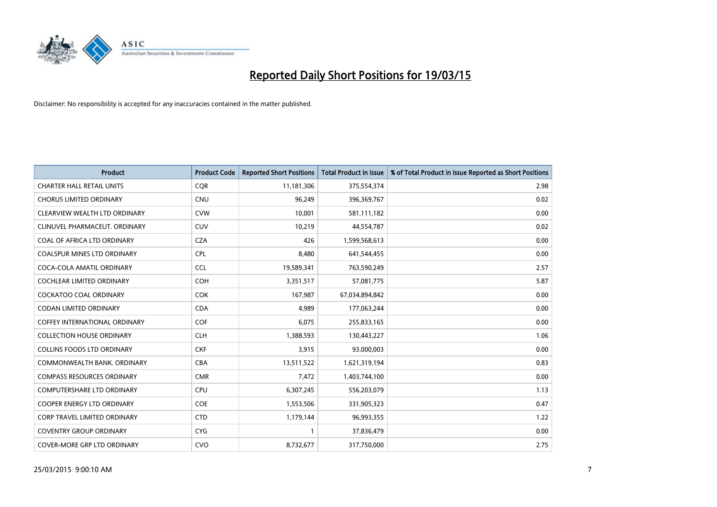

| <b>Product</b>                       | <b>Product Code</b> | <b>Reported Short Positions</b> | <b>Total Product in Issue</b> | % of Total Product in Issue Reported as Short Positions |
|--------------------------------------|---------------------|---------------------------------|-------------------------------|---------------------------------------------------------|
| <b>CHARTER HALL RETAIL UNITS</b>     | <b>COR</b>          | 11,181,306                      | 375,554,374                   | 2.98                                                    |
| <b>CHORUS LIMITED ORDINARY</b>       | <b>CNU</b>          | 96,249                          | 396,369,767                   | 0.02                                                    |
| CLEARVIEW WEALTH LTD ORDINARY        | <b>CVW</b>          | 10,001                          | 581,111,182                   | 0.00                                                    |
| CLINUVEL PHARMACEUT. ORDINARY        | <b>CUV</b>          | 10,219                          | 44,554,787                    | 0.02                                                    |
| COAL OF AFRICA LTD ORDINARY          | <b>CZA</b>          | 426                             | 1,599,568,613                 | 0.00                                                    |
| COALSPUR MINES LTD ORDINARY          | CPL                 | 8,480                           | 641,544,455                   | 0.00                                                    |
| COCA-COLA AMATIL ORDINARY            | <b>CCL</b>          | 19,589,341                      | 763,590,249                   | 2.57                                                    |
| <b>COCHLEAR LIMITED ORDINARY</b>     | <b>COH</b>          | 3,351,517                       | 57,081,775                    | 5.87                                                    |
| <b>COCKATOO COAL ORDINARY</b>        | <b>COK</b>          | 167,987                         | 67,034,894,842                | 0.00                                                    |
| <b>CODAN LIMITED ORDINARY</b>        | <b>CDA</b>          | 4,989                           | 177,063,244                   | 0.00                                                    |
| <b>COFFEY INTERNATIONAL ORDINARY</b> | <b>COF</b>          | 6,075                           | 255,833,165                   | 0.00                                                    |
| <b>COLLECTION HOUSE ORDINARY</b>     | <b>CLH</b>          | 1,388,593                       | 130,443,227                   | 1.06                                                    |
| <b>COLLINS FOODS LTD ORDINARY</b>    | <b>CKF</b>          | 3,915                           | 93,000,003                    | 0.00                                                    |
| COMMONWEALTH BANK, ORDINARY          | <b>CBA</b>          | 13,511,522                      | 1,621,319,194                 | 0.83                                                    |
| <b>COMPASS RESOURCES ORDINARY</b>    | <b>CMR</b>          | 7,472                           | 1,403,744,100                 | 0.00                                                    |
| <b>COMPUTERSHARE LTD ORDINARY</b>    | <b>CPU</b>          | 6,307,245                       | 556,203,079                   | 1.13                                                    |
| <b>COOPER ENERGY LTD ORDINARY</b>    | <b>COE</b>          | 1,553,506                       | 331,905,323                   | 0.47                                                    |
| <b>CORP TRAVEL LIMITED ORDINARY</b>  | <b>CTD</b>          | 1,179,144                       | 96,993,355                    | 1.22                                                    |
| <b>COVENTRY GROUP ORDINARY</b>       | <b>CYG</b>          | $\mathbf{1}$                    | 37,836,479                    | 0.00                                                    |
| <b>COVER-MORE GRP LTD ORDINARY</b>   | <b>CVO</b>          | 8,732,677                       | 317,750,000                   | 2.75                                                    |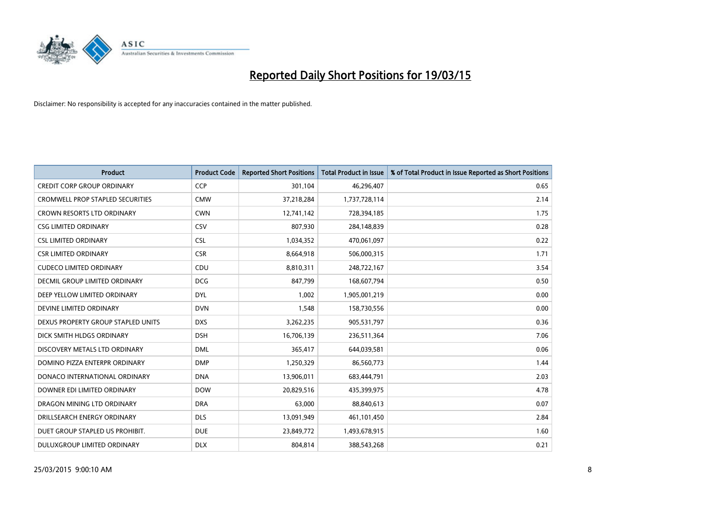

| <b>Product</b>                     | <b>Product Code</b> | <b>Reported Short Positions</b> | <b>Total Product in Issue</b> | % of Total Product in Issue Reported as Short Positions |
|------------------------------------|---------------------|---------------------------------|-------------------------------|---------------------------------------------------------|
| <b>CREDIT CORP GROUP ORDINARY</b>  | <b>CCP</b>          | 301,104                         | 46,296,407                    | 0.65                                                    |
| CROMWELL PROP STAPLED SECURITIES   | <b>CMW</b>          | 37,218,284                      | 1,737,728,114                 | 2.14                                                    |
| <b>CROWN RESORTS LTD ORDINARY</b>  | <b>CWN</b>          | 12,741,142                      | 728,394,185                   | 1.75                                                    |
| <b>CSG LIMITED ORDINARY</b>        | CSV                 | 807,930                         | 284,148,839                   | 0.28                                                    |
| <b>CSL LIMITED ORDINARY</b>        | <b>CSL</b>          | 1,034,352                       | 470,061,097                   | 0.22                                                    |
| <b>CSR LIMITED ORDINARY</b>        | <b>CSR</b>          | 8,664,918                       | 506,000,315                   | 1.71                                                    |
| <b>CUDECO LIMITED ORDINARY</b>     | <b>CDU</b>          | 8,810,311                       | 248,722,167                   | 3.54                                                    |
| DECMIL GROUP LIMITED ORDINARY      | <b>DCG</b>          | 847,799                         | 168,607,794                   | 0.50                                                    |
| DEEP YELLOW LIMITED ORDINARY       | <b>DYL</b>          | 1,002                           | 1,905,001,219                 | 0.00                                                    |
| DEVINE LIMITED ORDINARY            | <b>DVN</b>          | 1,548                           | 158,730,556                   | 0.00                                                    |
| DEXUS PROPERTY GROUP STAPLED UNITS | <b>DXS</b>          | 3,262,235                       | 905,531,797                   | 0.36                                                    |
| DICK SMITH HLDGS ORDINARY          | <b>DSH</b>          | 16,706,139                      | 236,511,364                   | 7.06                                                    |
| DISCOVERY METALS LTD ORDINARY      | <b>DML</b>          | 365,417                         | 644,039,581                   | 0.06                                                    |
| DOMINO PIZZA ENTERPR ORDINARY      | <b>DMP</b>          | 1,250,329                       | 86,560,773                    | 1.44                                                    |
| DONACO INTERNATIONAL ORDINARY      | <b>DNA</b>          | 13,906,011                      | 683,444,791                   | 2.03                                                    |
| DOWNER EDI LIMITED ORDINARY        | <b>DOW</b>          | 20,829,516                      | 435,399,975                   | 4.78                                                    |
| DRAGON MINING LTD ORDINARY         | <b>DRA</b>          | 63,000                          | 88,840,613                    | 0.07                                                    |
| DRILLSEARCH ENERGY ORDINARY        | <b>DLS</b>          | 13,091,949                      | 461,101,450                   | 2.84                                                    |
| DUET GROUP STAPLED US PROHIBIT.    | <b>DUE</b>          | 23,849,772                      | 1,493,678,915                 | 1.60                                                    |
| DULUXGROUP LIMITED ORDINARY        | <b>DLX</b>          | 804,814                         | 388,543,268                   | 0.21                                                    |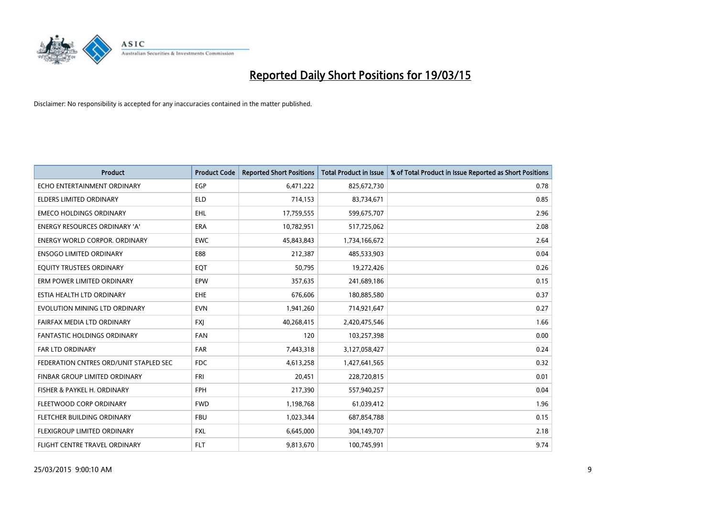

| <b>Product</b>                         | <b>Product Code</b> | <b>Reported Short Positions</b> | <b>Total Product in Issue</b> | % of Total Product in Issue Reported as Short Positions |
|----------------------------------------|---------------------|---------------------------------|-------------------------------|---------------------------------------------------------|
| ECHO ENTERTAINMENT ORDINARY            | <b>EGP</b>          | 6,471,222                       | 825,672,730                   | 0.78                                                    |
| ELDERS LIMITED ORDINARY                | <b>ELD</b>          | 714,153                         | 83,734,671                    | 0.85                                                    |
| <b>EMECO HOLDINGS ORDINARY</b>         | <b>EHL</b>          | 17,759,555                      | 599,675,707                   | 2.96                                                    |
| ENERGY RESOURCES ORDINARY 'A'          | <b>ERA</b>          | 10,782,951                      | 517,725,062                   | 2.08                                                    |
| <b>ENERGY WORLD CORPOR, ORDINARY</b>   | <b>EWC</b>          | 45,843,843                      | 1,734,166,672                 | 2.64                                                    |
| <b>ENSOGO LIMITED ORDINARY</b>         | E88                 | 212,387                         | 485,533,903                   | 0.04                                                    |
| EQUITY TRUSTEES ORDINARY               | EQT                 | 50,795                          | 19,272,426                    | 0.26                                                    |
| ERM POWER LIMITED ORDINARY             | EPW                 | 357,635                         | 241,689,186                   | 0.15                                                    |
| ESTIA HEALTH LTD ORDINARY              | EHE                 | 676,606                         | 180,885,580                   | 0.37                                                    |
| EVOLUTION MINING LTD ORDINARY          | <b>EVN</b>          | 1,941,260                       | 714,921,647                   | 0.27                                                    |
| FAIRFAX MEDIA LTD ORDINARY             | <b>FXI</b>          | 40,268,415                      | 2,420,475,546                 | 1.66                                                    |
| <b>FANTASTIC HOLDINGS ORDINARY</b>     | <b>FAN</b>          | 120                             | 103,257,398                   | 0.00                                                    |
| FAR LTD ORDINARY                       | <b>FAR</b>          | 7,443,318                       | 3,127,058,427                 | 0.24                                                    |
| FEDERATION CNTRES ORD/UNIT STAPLED SEC | <b>FDC</b>          | 4,613,258                       | 1,427,641,565                 | 0.32                                                    |
| FINBAR GROUP LIMITED ORDINARY          | <b>FRI</b>          | 20,451                          | 228,720,815                   | 0.01                                                    |
| FISHER & PAYKEL H. ORDINARY            | <b>FPH</b>          | 217,390                         | 557,940,257                   | 0.04                                                    |
| FLEETWOOD CORP ORDINARY                | <b>FWD</b>          | 1,198,768                       | 61,039,412                    | 1.96                                                    |
| FLETCHER BUILDING ORDINARY             | <b>FBU</b>          | 1,023,344                       | 687,854,788                   | 0.15                                                    |
| FLEXIGROUP LIMITED ORDINARY            | <b>FXL</b>          | 6,645,000                       | 304,149,707                   | 2.18                                                    |
| FLIGHT CENTRE TRAVEL ORDINARY          | <b>FLT</b>          | 9,813,670                       | 100,745,991                   | 9.74                                                    |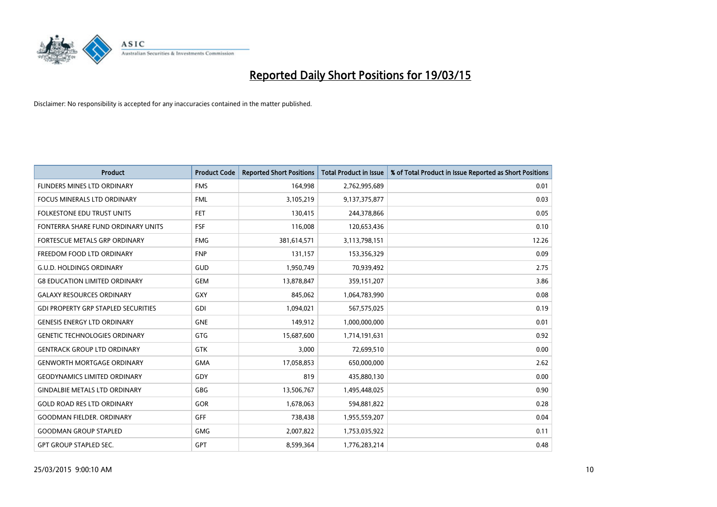

| <b>Product</b>                             | <b>Product Code</b> | <b>Reported Short Positions</b> | <b>Total Product in Issue</b> | % of Total Product in Issue Reported as Short Positions |
|--------------------------------------------|---------------------|---------------------------------|-------------------------------|---------------------------------------------------------|
| FLINDERS MINES LTD ORDINARY                | <b>FMS</b>          | 164,998                         | 2,762,995,689                 | 0.01                                                    |
| FOCUS MINERALS LTD ORDINARY                | <b>FML</b>          | 3,105,219                       | 9,137,375,877                 | 0.03                                                    |
| FOLKESTONE EDU TRUST UNITS                 | <b>FET</b>          | 130,415                         | 244,378,866                   | 0.05                                                    |
| FONTERRA SHARE FUND ORDINARY UNITS         | <b>FSF</b>          | 116,008                         | 120,653,436                   | 0.10                                                    |
| FORTESCUE METALS GRP ORDINARY              | <b>FMG</b>          | 381,614,571                     | 3,113,798,151                 | 12.26                                                   |
| FREEDOM FOOD LTD ORDINARY                  | <b>FNP</b>          | 131,157                         | 153,356,329                   | 0.09                                                    |
| <b>G.U.D. HOLDINGS ORDINARY</b>            | GUD                 | 1,950,749                       | 70,939,492                    | 2.75                                                    |
| <b>G8 EDUCATION LIMITED ORDINARY</b>       | <b>GEM</b>          | 13,878,847                      | 359,151,207                   | 3.86                                                    |
| <b>GALAXY RESOURCES ORDINARY</b>           | GXY                 | 845,062                         | 1,064,783,990                 | 0.08                                                    |
| <b>GDI PROPERTY GRP STAPLED SECURITIES</b> | GDI                 | 1,094,021                       | 567,575,025                   | 0.19                                                    |
| <b>GENESIS ENERGY LTD ORDINARY</b>         | <b>GNE</b>          | 149,912                         | 1,000,000,000                 | 0.01                                                    |
| <b>GENETIC TECHNOLOGIES ORDINARY</b>       | GTG                 | 15,687,600                      | 1,714,191,631                 | 0.92                                                    |
| <b>GENTRACK GROUP LTD ORDINARY</b>         | <b>GTK</b>          | 3,000                           | 72,699,510                    | 0.00                                                    |
| <b>GENWORTH MORTGAGE ORDINARY</b>          | <b>GMA</b>          | 17,058,853                      | 650,000,000                   | 2.62                                                    |
| <b>GEODYNAMICS LIMITED ORDINARY</b>        | GDY                 | 819                             | 435,880,130                   | 0.00                                                    |
| <b>GINDALBIE METALS LTD ORDINARY</b>       | GBG                 | 13,506,767                      | 1,495,448,025                 | 0.90                                                    |
| <b>GOLD ROAD RES LTD ORDINARY</b>          | GOR                 | 1,678,063                       | 594,881,822                   | 0.28                                                    |
| <b>GOODMAN FIELDER, ORDINARY</b>           | <b>GFF</b>          | 738,438                         | 1,955,559,207                 | 0.04                                                    |
| <b>GOODMAN GROUP STAPLED</b>               | <b>GMG</b>          | 2,007,822                       | 1,753,035,922                 | 0.11                                                    |
| <b>GPT GROUP STAPLED SEC.</b>              | <b>GPT</b>          | 8,599,364                       | 1,776,283,214                 | 0.48                                                    |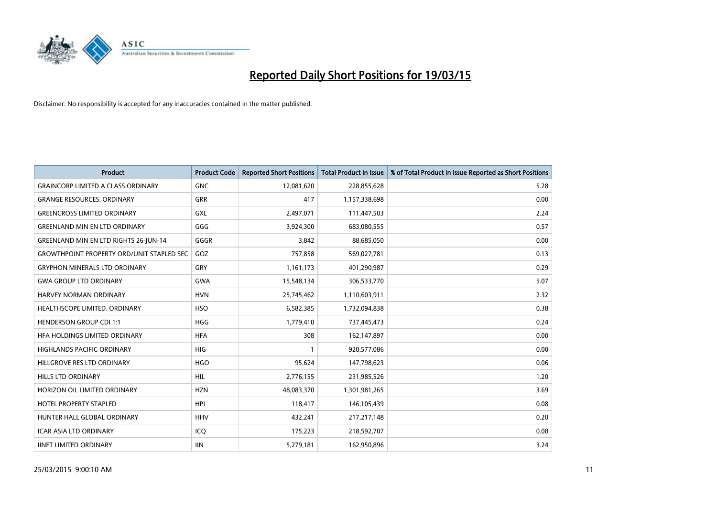

| <b>Product</b>                                   | <b>Product Code</b> | <b>Reported Short Positions</b> | <b>Total Product in Issue</b> | % of Total Product in Issue Reported as Short Positions |
|--------------------------------------------------|---------------------|---------------------------------|-------------------------------|---------------------------------------------------------|
| <b>GRAINCORP LIMITED A CLASS ORDINARY</b>        | <b>GNC</b>          | 12,081,620                      | 228,855,628                   | 5.28                                                    |
| <b>GRANGE RESOURCES. ORDINARY</b>                | GRR                 | 417                             | 1,157,338,698                 | 0.00                                                    |
| <b>GREENCROSS LIMITED ORDINARY</b>               | <b>GXL</b>          | 2,497,071                       | 111,447,503                   | 2.24                                                    |
| <b>GREENLAND MIN EN LTD ORDINARY</b>             | GGG                 | 3,924,300                       | 683,080,555                   | 0.57                                                    |
| <b>GREENLAND MIN EN LTD RIGHTS 26-JUN-14</b>     | GGGR                | 3,842                           | 88,685,050                    | 0.00                                                    |
| <b>GROWTHPOINT PROPERTY ORD/UNIT STAPLED SEC</b> | GOZ                 | 757,858                         | 569,027,781                   | 0.13                                                    |
| <b>GRYPHON MINERALS LTD ORDINARY</b>             | <b>GRY</b>          | 1,161,173                       | 401,290,987                   | 0.29                                                    |
| <b>GWA GROUP LTD ORDINARY</b>                    | <b>GWA</b>          | 15,548,134                      | 306,533,770                   | 5.07                                                    |
| <b>HARVEY NORMAN ORDINARY</b>                    | <b>HVN</b>          | 25,745,462                      | 1,110,603,911                 | 2.32                                                    |
| HEALTHSCOPE LIMITED. ORDINARY                    | <b>HSO</b>          | 6,582,385                       | 1,732,094,838                 | 0.38                                                    |
| <b>HENDERSON GROUP CDI 1:1</b>                   | <b>HGG</b>          | 1,779,410                       | 737,445,473                   | 0.24                                                    |
| HFA HOLDINGS LIMITED ORDINARY                    | <b>HFA</b>          | 308                             | 162,147,897                   | 0.00                                                    |
| HIGHLANDS PACIFIC ORDINARY                       | <b>HIG</b>          | $\mathbf{1}$                    | 920,577,086                   | 0.00                                                    |
| HILLGROVE RES LTD ORDINARY                       | <b>HGO</b>          | 95,624                          | 147,798,623                   | 0.06                                                    |
| <b>HILLS LTD ORDINARY</b>                        | <b>HIL</b>          | 2,776,155                       | 231,985,526                   | 1.20                                                    |
| HORIZON OIL LIMITED ORDINARY                     | <b>HZN</b>          | 48,083,370                      | 1,301,981,265                 | 3.69                                                    |
| HOTEL PROPERTY STAPLED                           | <b>HPI</b>          | 118,417                         | 146, 105, 439                 | 0.08                                                    |
| HUNTER HALL GLOBAL ORDINARY                      | <b>HHV</b>          | 432,241                         | 217,217,148                   | 0.20                                                    |
| <b>ICAR ASIA LTD ORDINARY</b>                    | ICQ                 | 175,223                         | 218,592,707                   | 0.08                                                    |
| <b>IINET LIMITED ORDINARY</b>                    | <b>IIN</b>          | 5,279,181                       | 162,950,896                   | 3.24                                                    |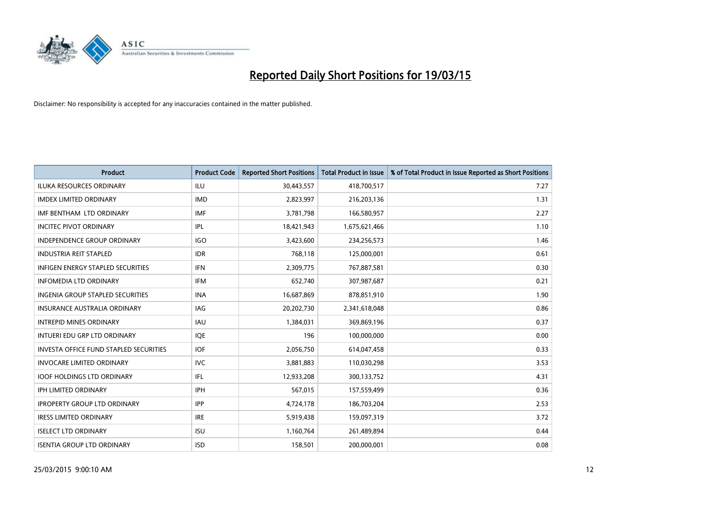

| <b>Product</b>                                | <b>Product Code</b> | <b>Reported Short Positions</b> | <b>Total Product in Issue</b> | % of Total Product in Issue Reported as Short Positions |
|-----------------------------------------------|---------------------|---------------------------------|-------------------------------|---------------------------------------------------------|
| <b>ILUKA RESOURCES ORDINARY</b>               | ILU                 | 30,443,557                      | 418,700,517                   | 7.27                                                    |
| <b>IMDEX LIMITED ORDINARY</b>                 | <b>IMD</b>          | 2,823,997                       | 216,203,136                   | 1.31                                                    |
| IMF BENTHAM LTD ORDINARY                      | <b>IMF</b>          | 3,781,798                       | 166,580,957                   | 2.27                                                    |
| <b>INCITEC PIVOT ORDINARY</b>                 | IPL                 | 18,421,943                      | 1,675,621,466                 | 1.10                                                    |
| <b>INDEPENDENCE GROUP ORDINARY</b>            | <b>IGO</b>          | 3,423,600                       | 234,256,573                   | 1.46                                                    |
| <b>INDUSTRIA REIT STAPLED</b>                 | <b>IDR</b>          | 768,118                         | 125,000,001                   | 0.61                                                    |
| <b>INFIGEN ENERGY STAPLED SECURITIES</b>      | <b>IFN</b>          | 2,309,775                       | 767,887,581                   | 0.30                                                    |
| <b>INFOMEDIA LTD ORDINARY</b>                 | <b>IFM</b>          | 652,740                         | 307,987,687                   | 0.21                                                    |
| INGENIA GROUP STAPLED SECURITIES              | <b>INA</b>          | 16,687,869                      | 878,851,910                   | 1.90                                                    |
| <b>INSURANCE AUSTRALIA ORDINARY</b>           | IAG                 | 20,202,730                      | 2,341,618,048                 | 0.86                                                    |
| <b>INTREPID MINES ORDINARY</b>                | <b>IAU</b>          | 1,384,031                       | 369,869,196                   | 0.37                                                    |
| INTUERI EDU GRP LTD ORDINARY                  | <b>IQE</b>          | 196                             | 100,000,000                   | 0.00                                                    |
| <b>INVESTA OFFICE FUND STAPLED SECURITIES</b> | <b>IOF</b>          | 2,056,750                       | 614,047,458                   | 0.33                                                    |
| <b>INVOCARE LIMITED ORDINARY</b>              | <b>IVC</b>          | 3,881,883                       | 110,030,298                   | 3.53                                                    |
| <b>IOOF HOLDINGS LTD ORDINARY</b>             | IFL                 | 12,933,208                      | 300,133,752                   | 4.31                                                    |
| <b>IPH LIMITED ORDINARY</b>                   | <b>IPH</b>          | 567,015                         | 157,559,499                   | 0.36                                                    |
| <b>IPROPERTY GROUP LTD ORDINARY</b>           | <b>IPP</b>          | 4,724,178                       | 186,703,204                   | 2.53                                                    |
| <b>IRESS LIMITED ORDINARY</b>                 | <b>IRE</b>          | 5,919,438                       | 159,097,319                   | 3.72                                                    |
| <b>ISELECT LTD ORDINARY</b>                   | <b>ISU</b>          | 1,160,764                       | 261,489,894                   | 0.44                                                    |
| <b>ISENTIA GROUP LTD ORDINARY</b>             | <b>ISD</b>          | 158,501                         | 200,000,001                   | 0.08                                                    |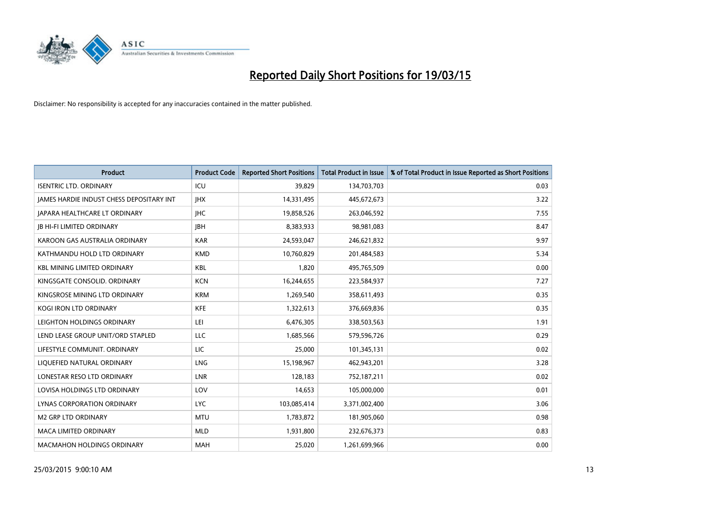

| <b>Product</b>                                  | <b>Product Code</b> | <b>Reported Short Positions</b> | <b>Total Product in Issue</b> | % of Total Product in Issue Reported as Short Positions |
|-------------------------------------------------|---------------------|---------------------------------|-------------------------------|---------------------------------------------------------|
| <b>ISENTRIC LTD. ORDINARY</b>                   | ICU                 | 39,829                          | 134,703,703                   | 0.03                                                    |
| <b>JAMES HARDIE INDUST CHESS DEPOSITARY INT</b> | <b>IHX</b>          | 14,331,495                      | 445,672,673                   | 3.22                                                    |
| <b>JAPARA HEALTHCARE LT ORDINARY</b>            | <b>IHC</b>          | 19,858,526                      | 263,046,592                   | 7.55                                                    |
| <b>JB HI-FI LIMITED ORDINARY</b>                | <b>IBH</b>          | 8,383,933                       | 98,981,083                    | 8.47                                                    |
| KAROON GAS AUSTRALIA ORDINARY                   | <b>KAR</b>          | 24,593,047                      | 246,621,832                   | 9.97                                                    |
| KATHMANDU HOLD LTD ORDINARY                     | <b>KMD</b>          | 10,760,829                      | 201,484,583                   | 5.34                                                    |
| <b>KBL MINING LIMITED ORDINARY</b>              | <b>KBL</b>          | 1,820                           | 495,765,509                   | 0.00                                                    |
| KINGSGATE CONSOLID. ORDINARY                    | <b>KCN</b>          | 16,244,655                      | 223,584,937                   | 7.27                                                    |
| KINGSROSE MINING LTD ORDINARY                   | <b>KRM</b>          | 1,269,540                       | 358,611,493                   | 0.35                                                    |
| <b>KOGI IRON LTD ORDINARY</b>                   | <b>KFE</b>          | 1,322,613                       | 376,669,836                   | 0.35                                                    |
| LEIGHTON HOLDINGS ORDINARY                      | LEI                 | 6,476,305                       | 338,503,563                   | 1.91                                                    |
| LEND LEASE GROUP UNIT/ORD STAPLED               | LLC                 | 1,685,566                       | 579,596,726                   | 0.29                                                    |
| LIFESTYLE COMMUNIT. ORDINARY                    | <b>LIC</b>          | 25,000                          | 101,345,131                   | 0.02                                                    |
| LIQUEFIED NATURAL ORDINARY                      | <b>LNG</b>          | 15,198,967                      | 462,943,201                   | 3.28                                                    |
| LONESTAR RESO LTD ORDINARY                      | <b>LNR</b>          | 128,183                         | 752,187,211                   | 0.02                                                    |
| LOVISA HOLDINGS LTD ORDINARY                    | LOV                 | 14,653                          | 105,000,000                   | 0.01                                                    |
| LYNAS CORPORATION ORDINARY                      | <b>LYC</b>          | 103,085,414                     | 3,371,002,400                 | 3.06                                                    |
| <b>M2 GRP LTD ORDINARY</b>                      | <b>MTU</b>          | 1,783,872                       | 181,905,060                   | 0.98                                                    |
| <b>MACA LIMITED ORDINARY</b>                    | <b>MLD</b>          | 1,931,800                       | 232,676,373                   | 0.83                                                    |
| <b>MACMAHON HOLDINGS ORDINARY</b>               | <b>MAH</b>          | 25,020                          | 1,261,699,966                 | 0.00                                                    |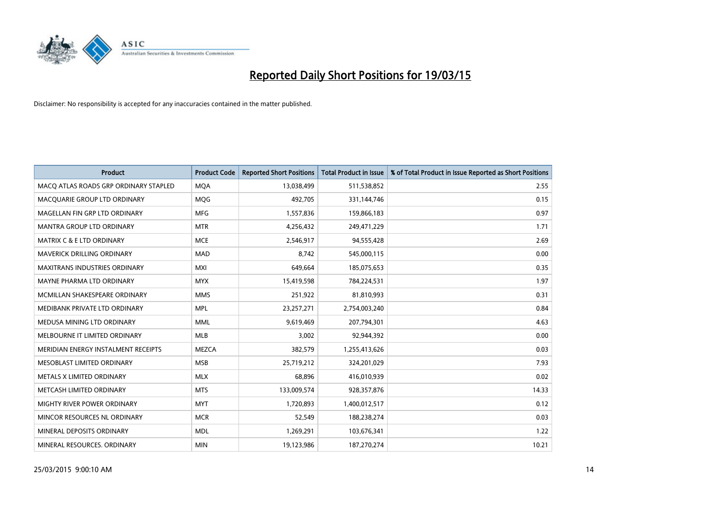

| <b>Product</b>                        | <b>Product Code</b> | <b>Reported Short Positions</b> | <b>Total Product in Issue</b> | % of Total Product in Issue Reported as Short Positions |
|---------------------------------------|---------------------|---------------------------------|-------------------------------|---------------------------------------------------------|
| MACO ATLAS ROADS GRP ORDINARY STAPLED | <b>MQA</b>          | 13,038,499                      | 511,538,852                   | 2.55                                                    |
| MACQUARIE GROUP LTD ORDINARY          | <b>MQG</b>          | 492,705                         | 331,144,746                   | 0.15                                                    |
| MAGELLAN FIN GRP LTD ORDINARY         | <b>MFG</b>          | 1,557,836                       | 159,866,183                   | 0.97                                                    |
| <b>MANTRA GROUP LTD ORDINARY</b>      | <b>MTR</b>          | 4,256,432                       | 249,471,229                   | 1.71                                                    |
| <b>MATRIX C &amp; E LTD ORDINARY</b>  | <b>MCE</b>          | 2,546,917                       | 94,555,428                    | 2.69                                                    |
| MAVERICK DRILLING ORDINARY            | <b>MAD</b>          | 8,742                           | 545,000,115                   | 0.00                                                    |
| MAXITRANS INDUSTRIES ORDINARY         | <b>MXI</b>          | 649,664                         | 185,075,653                   | 0.35                                                    |
| MAYNE PHARMA LTD ORDINARY             | <b>MYX</b>          | 15,419,598                      | 784,224,531                   | 1.97                                                    |
| MCMILLAN SHAKESPEARE ORDINARY         | <b>MMS</b>          | 251,922                         | 81,810,993                    | 0.31                                                    |
| MEDIBANK PRIVATE LTD ORDINARY         | <b>MPL</b>          | 23,257,271                      | 2,754,003,240                 | 0.84                                                    |
| MEDUSA MINING LTD ORDINARY            | <b>MML</b>          | 9,619,469                       | 207,794,301                   | 4.63                                                    |
| MELBOURNE IT LIMITED ORDINARY         | MLB                 | 3,002                           | 92,944,392                    | 0.00                                                    |
| MERIDIAN ENERGY INSTALMENT RECEIPTS   | <b>MEZCA</b>        | 382,579                         | 1,255,413,626                 | 0.03                                                    |
| MESOBLAST LIMITED ORDINARY            | <b>MSB</b>          | 25,719,212                      | 324,201,029                   | 7.93                                                    |
| METALS X LIMITED ORDINARY             | <b>MLX</b>          | 68,896                          | 416,010,939                   | 0.02                                                    |
| METCASH LIMITED ORDINARY              | <b>MTS</b>          | 133,009,574                     | 928,357,876                   | 14.33                                                   |
| MIGHTY RIVER POWER ORDINARY           | <b>MYT</b>          | 1,720,893                       | 1,400,012,517                 | 0.12                                                    |
| MINCOR RESOURCES NL ORDINARY          | <b>MCR</b>          | 52,549                          | 188,238,274                   | 0.03                                                    |
| MINERAL DEPOSITS ORDINARY             | <b>MDL</b>          | 1,269,291                       | 103,676,341                   | 1.22                                                    |
| MINERAL RESOURCES, ORDINARY           | <b>MIN</b>          | 19,123,986                      | 187,270,274                   | 10.21                                                   |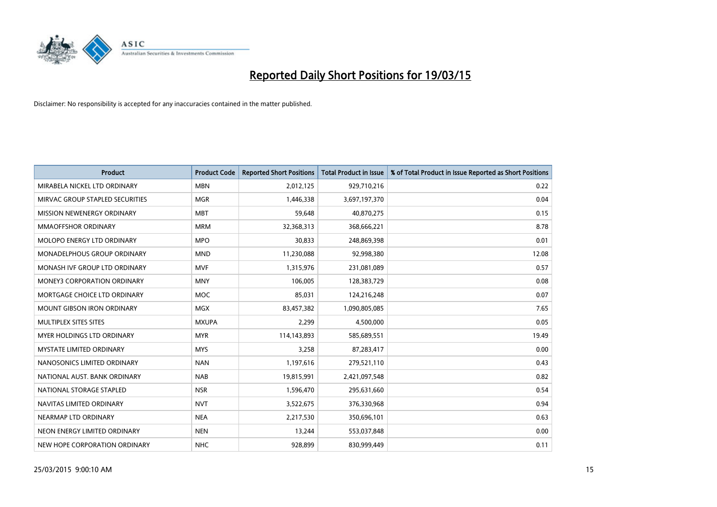

| <b>Product</b>                     | <b>Product Code</b> | <b>Reported Short Positions</b> | <b>Total Product in Issue</b> | % of Total Product in Issue Reported as Short Positions |
|------------------------------------|---------------------|---------------------------------|-------------------------------|---------------------------------------------------------|
| MIRABELA NICKEL LTD ORDINARY       | <b>MBN</b>          | 2,012,125                       | 929,710,216                   | 0.22                                                    |
| MIRVAC GROUP STAPLED SECURITIES    | <b>MGR</b>          | 1,446,338                       | 3,697,197,370                 | 0.04                                                    |
| MISSION NEWENERGY ORDINARY         | <b>MBT</b>          | 59,648                          | 40,870,275                    | 0.15                                                    |
| <b>MMAOFFSHOR ORDINARY</b>         | <b>MRM</b>          | 32,368,313                      | 368,666,221                   | 8.78                                                    |
| MOLOPO ENERGY LTD ORDINARY         | <b>MPO</b>          | 30,833                          | 248,869,398                   | 0.01                                                    |
| MONADELPHOUS GROUP ORDINARY        | <b>MND</b>          | 11,230,088                      | 92,998,380                    | 12.08                                                   |
| MONASH IVF GROUP LTD ORDINARY      | <b>MVF</b>          | 1,315,976                       | 231,081,089                   | 0.57                                                    |
| <b>MONEY3 CORPORATION ORDINARY</b> | <b>MNY</b>          | 106,005                         | 128,383,729                   | 0.08                                                    |
| MORTGAGE CHOICE LTD ORDINARY       | <b>MOC</b>          | 85,031                          | 124,216,248                   | 0.07                                                    |
| <b>MOUNT GIBSON IRON ORDINARY</b>  | <b>MGX</b>          | 83,457,382                      | 1,090,805,085                 | 7.65                                                    |
| MULTIPLEX SITES SITES              | <b>MXUPA</b>        | 2,299                           | 4,500,000                     | 0.05                                                    |
| MYER HOLDINGS LTD ORDINARY         | <b>MYR</b>          | 114,143,893                     | 585,689,551                   | 19.49                                                   |
| <b>MYSTATE LIMITED ORDINARY</b>    | <b>MYS</b>          | 3,258                           | 87,283,417                    | 0.00                                                    |
| NANOSONICS LIMITED ORDINARY        | <b>NAN</b>          | 1,197,616                       | 279,521,110                   | 0.43                                                    |
| NATIONAL AUST, BANK ORDINARY       | <b>NAB</b>          | 19,815,991                      | 2,421,097,548                 | 0.82                                                    |
| NATIONAL STORAGE STAPLED           | <b>NSR</b>          | 1,596,470                       | 295,631,660                   | 0.54                                                    |
| NAVITAS LIMITED ORDINARY           | <b>NVT</b>          | 3,522,675                       | 376,330,968                   | 0.94                                                    |
| NEARMAP LTD ORDINARY               | <b>NEA</b>          | 2,217,530                       | 350,696,101                   | 0.63                                                    |
| NEON ENERGY LIMITED ORDINARY       | <b>NEN</b>          | 13,244                          | 553,037,848                   | 0.00                                                    |
| NEW HOPE CORPORATION ORDINARY      | <b>NHC</b>          | 928,899                         | 830,999,449                   | 0.11                                                    |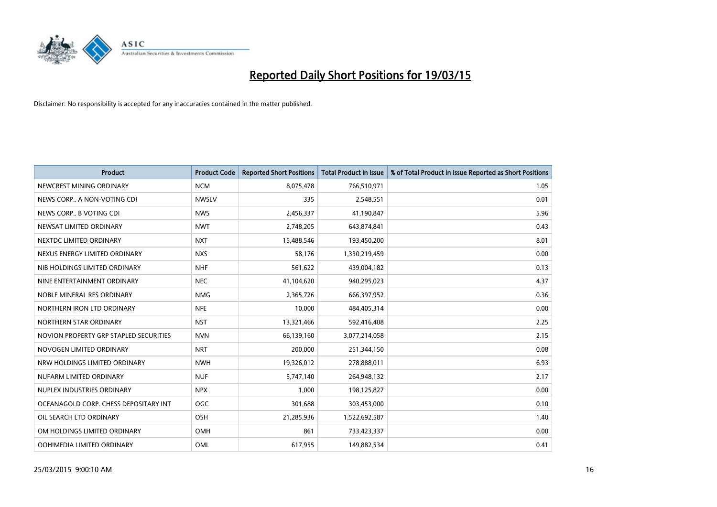

| <b>Product</b>                         | <b>Product Code</b> | <b>Reported Short Positions</b> | <b>Total Product in Issue</b> | % of Total Product in Issue Reported as Short Positions |
|----------------------------------------|---------------------|---------------------------------|-------------------------------|---------------------------------------------------------|
| NEWCREST MINING ORDINARY               | <b>NCM</b>          | 8,075,478                       | 766,510,971                   | 1.05                                                    |
| NEWS CORP A NON-VOTING CDI             | <b>NWSLV</b>        | 335                             | 2,548,551                     | 0.01                                                    |
| NEWS CORP B VOTING CDI                 | <b>NWS</b>          | 2,456,337                       | 41,190,847                    | 5.96                                                    |
| NEWSAT LIMITED ORDINARY                | <b>NWT</b>          | 2,748,205                       | 643,874,841                   | 0.43                                                    |
| NEXTDC LIMITED ORDINARY                | <b>NXT</b>          | 15,488,546                      | 193,450,200                   | 8.01                                                    |
| NEXUS ENERGY LIMITED ORDINARY          | <b>NXS</b>          | 58,176                          | 1,330,219,459                 | 0.00                                                    |
| NIB HOLDINGS LIMITED ORDINARY          | <b>NHF</b>          | 561,622                         | 439,004,182                   | 0.13                                                    |
| NINE ENTERTAINMENT ORDINARY            | <b>NEC</b>          | 41,104,620                      | 940,295,023                   | 4.37                                                    |
| NOBLE MINERAL RES ORDINARY             | <b>NMG</b>          | 2,365,726                       | 666,397,952                   | 0.36                                                    |
| NORTHERN IRON LTD ORDINARY             | <b>NFE</b>          | 10,000                          | 484,405,314                   | 0.00                                                    |
| NORTHERN STAR ORDINARY                 | <b>NST</b>          | 13,321,466                      | 592,416,408                   | 2.25                                                    |
| NOVION PROPERTY GRP STAPLED SECURITIES | <b>NVN</b>          | 66,139,160                      | 3,077,214,058                 | 2.15                                                    |
| NOVOGEN LIMITED ORDINARY               | <b>NRT</b>          | 200,000                         | 251,344,150                   | 0.08                                                    |
| NRW HOLDINGS LIMITED ORDINARY          | <b>NWH</b>          | 19,326,012                      | 278,888,011                   | 6.93                                                    |
| NUFARM LIMITED ORDINARY                | <b>NUF</b>          | 5,747,140                       | 264,948,132                   | 2.17                                                    |
| NUPLEX INDUSTRIES ORDINARY             | <b>NPX</b>          | 1,000                           | 198,125,827                   | 0.00                                                    |
| OCEANAGOLD CORP. CHESS DEPOSITARY INT  | <b>OGC</b>          | 301,688                         | 303,453,000                   | 0.10                                                    |
| OIL SEARCH LTD ORDINARY                | OSH                 | 21,285,936                      | 1,522,692,587                 | 1.40                                                    |
| OM HOLDINGS LIMITED ORDINARY           | <b>OMH</b>          | 861                             | 733,423,337                   | 0.00                                                    |
| OOH!MEDIA LIMITED ORDINARY             | OML                 | 617,955                         | 149,882,534                   | 0.41                                                    |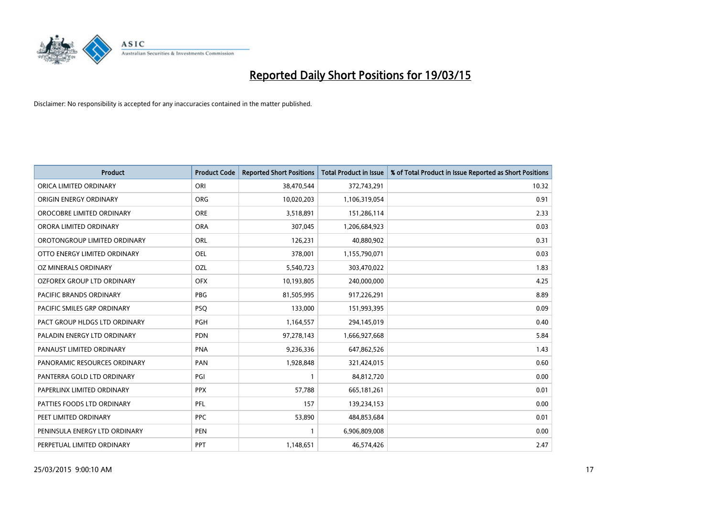

| <b>Product</b>                 | <b>Product Code</b> | <b>Reported Short Positions</b> | <b>Total Product in Issue</b> | % of Total Product in Issue Reported as Short Positions |
|--------------------------------|---------------------|---------------------------------|-------------------------------|---------------------------------------------------------|
| ORICA LIMITED ORDINARY         | ORI                 | 38,470,544                      | 372,743,291                   | 10.32                                                   |
| ORIGIN ENERGY ORDINARY         | <b>ORG</b>          | 10,020,203                      | 1,106,319,054                 | 0.91                                                    |
| OROCOBRE LIMITED ORDINARY      | <b>ORE</b>          | 3,518,891                       | 151,286,114                   | 2.33                                                    |
| ORORA LIMITED ORDINARY         | <b>ORA</b>          | 307,045                         | 1,206,684,923                 | 0.03                                                    |
| OROTONGROUP LIMITED ORDINARY   | ORL                 | 126,231                         | 40,880,902                    | 0.31                                                    |
| OTTO ENERGY LIMITED ORDINARY   | <b>OEL</b>          | 378,001                         | 1,155,790,071                 | 0.03                                                    |
| OZ MINERALS ORDINARY           | OZL                 | 5,540,723                       | 303,470,022                   | 1.83                                                    |
| OZFOREX GROUP LTD ORDINARY     | <b>OFX</b>          | 10,193,805                      | 240,000,000                   | 4.25                                                    |
| <b>PACIFIC BRANDS ORDINARY</b> | <b>PBG</b>          | 81,505,995                      | 917,226,291                   | 8.89                                                    |
| PACIFIC SMILES GRP ORDINARY    | <b>PSQ</b>          | 133,000                         | 151,993,395                   | 0.09                                                    |
| PACT GROUP HLDGS LTD ORDINARY  | <b>PGH</b>          | 1,164,557                       | 294,145,019                   | 0.40                                                    |
| PALADIN ENERGY LTD ORDINARY    | <b>PDN</b>          | 97,278,143                      | 1,666,927,668                 | 5.84                                                    |
| PANAUST LIMITED ORDINARY       | <b>PNA</b>          | 9,236,336                       | 647,862,526                   | 1.43                                                    |
| PANORAMIC RESOURCES ORDINARY   | PAN                 | 1,928,848                       | 321,424,015                   | 0.60                                                    |
| PANTERRA GOLD LTD ORDINARY     | PGI                 | $\mathbf{1}$                    | 84,812,720                    | 0.00                                                    |
| PAPERLINX LIMITED ORDINARY     | <b>PPX</b>          | 57,788                          | 665, 181, 261                 | 0.01                                                    |
| PATTIES FOODS LTD ORDINARY     | PFL                 | 157                             | 139,234,153                   | 0.00                                                    |
| PEET LIMITED ORDINARY          | <b>PPC</b>          | 53,890                          | 484,853,684                   | 0.01                                                    |
| PENINSULA ENERGY LTD ORDINARY  | <b>PEN</b>          | 1                               | 6,906,809,008                 | 0.00                                                    |
| PERPETUAL LIMITED ORDINARY     | PPT                 | 1,148,651                       | 46,574,426                    | 2.47                                                    |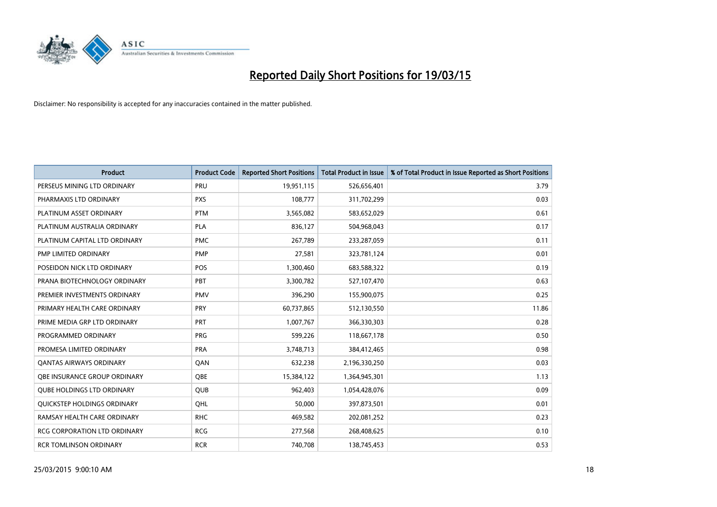

| <b>Product</b>                      | <b>Product Code</b> | <b>Reported Short Positions</b> | <b>Total Product in Issue</b> | % of Total Product in Issue Reported as Short Positions |
|-------------------------------------|---------------------|---------------------------------|-------------------------------|---------------------------------------------------------|
| PERSEUS MINING LTD ORDINARY         | PRU                 | 19,951,115                      | 526,656,401                   | 3.79                                                    |
| PHARMAXIS LTD ORDINARY              | <b>PXS</b>          | 108,777                         | 311,702,299                   | 0.03                                                    |
| PLATINUM ASSET ORDINARY             | <b>PTM</b>          | 3,565,082                       | 583,652,029                   | 0.61                                                    |
| PLATINUM AUSTRALIA ORDINARY         | PLA                 | 836,127                         | 504,968,043                   | 0.17                                                    |
| PLATINUM CAPITAL LTD ORDINARY       | <b>PMC</b>          | 267,789                         | 233,287,059                   | 0.11                                                    |
| PMP LIMITED ORDINARY                | <b>PMP</b>          | 27,581                          | 323,781,124                   | 0.01                                                    |
| POSEIDON NICK LTD ORDINARY          | <b>POS</b>          | 1,300,460                       | 683,588,322                   | 0.19                                                    |
| PRANA BIOTECHNOLOGY ORDINARY        | PBT                 | 3,300,782                       | 527,107,470                   | 0.63                                                    |
| PREMIER INVESTMENTS ORDINARY        | <b>PMV</b>          | 396,290                         | 155,900,075                   | 0.25                                                    |
| PRIMARY HEALTH CARE ORDINARY        | <b>PRY</b>          | 60,737,865                      | 512,130,550                   | 11.86                                                   |
| PRIME MEDIA GRP LTD ORDINARY        | <b>PRT</b>          | 1,007,767                       | 366,330,303                   | 0.28                                                    |
| PROGRAMMED ORDINARY                 | <b>PRG</b>          | 599,226                         | 118,667,178                   | 0.50                                                    |
| PROMESA LIMITED ORDINARY            | <b>PRA</b>          | 3,748,713                       | 384,412,465                   | 0.98                                                    |
| <b>QANTAS AIRWAYS ORDINARY</b>      | QAN                 | 632,238                         | 2,196,330,250                 | 0.03                                                    |
| OBE INSURANCE GROUP ORDINARY        | <b>OBE</b>          | 15,384,122                      | 1,364,945,301                 | 1.13                                                    |
| <b>QUBE HOLDINGS LTD ORDINARY</b>   | QUB                 | 962,403                         | 1,054,428,076                 | 0.09                                                    |
| QUICKSTEP HOLDINGS ORDINARY         | QHL                 | 50,000                          | 397,873,501                   | 0.01                                                    |
| RAMSAY HEALTH CARE ORDINARY         | <b>RHC</b>          | 469,582                         | 202,081,252                   | 0.23                                                    |
| <b>RCG CORPORATION LTD ORDINARY</b> | <b>RCG</b>          | 277,568                         | 268,408,625                   | 0.10                                                    |
| <b>RCR TOMLINSON ORDINARY</b>       | <b>RCR</b>          | 740,708                         | 138,745,453                   | 0.53                                                    |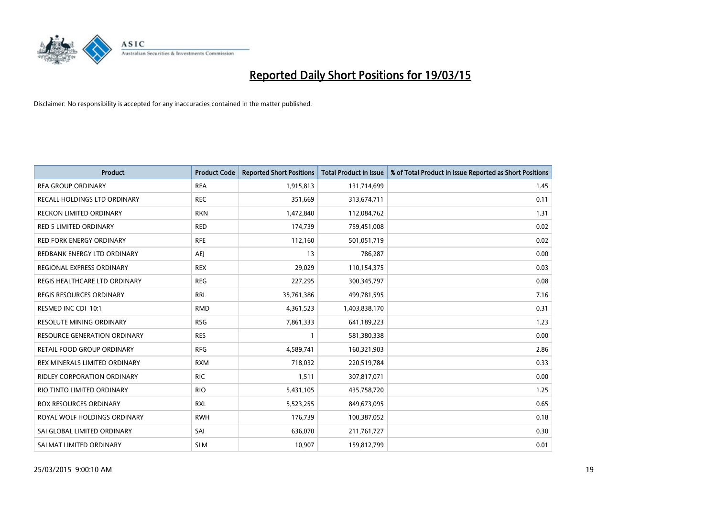

| <b>Product</b>                     | <b>Product Code</b> | <b>Reported Short Positions</b> | <b>Total Product in Issue</b> | % of Total Product in Issue Reported as Short Positions |
|------------------------------------|---------------------|---------------------------------|-------------------------------|---------------------------------------------------------|
| <b>REA GROUP ORDINARY</b>          | <b>REA</b>          | 1,915,813                       | 131,714,699                   | 1.45                                                    |
| RECALL HOLDINGS LTD ORDINARY       | <b>REC</b>          | 351,669                         | 313,674,711                   | 0.11                                                    |
| <b>RECKON LIMITED ORDINARY</b>     | <b>RKN</b>          | 1,472,840                       | 112,084,762                   | 1.31                                                    |
| <b>RED 5 LIMITED ORDINARY</b>      | <b>RED</b>          | 174,739                         | 759,451,008                   | 0.02                                                    |
| <b>RED FORK ENERGY ORDINARY</b>    | <b>RFE</b>          | 112,160                         | 501,051,719                   | 0.02                                                    |
| REDBANK ENERGY LTD ORDINARY        | <b>AEJ</b>          | 13                              | 786,287                       | 0.00                                                    |
| REGIONAL EXPRESS ORDINARY          | <b>REX</b>          | 29,029                          | 110,154,375                   | 0.03                                                    |
| REGIS HEALTHCARE LTD ORDINARY      | <b>REG</b>          | 227,295                         | 300, 345, 797                 | 0.08                                                    |
| <b>REGIS RESOURCES ORDINARY</b>    | <b>RRL</b>          | 35,761,386                      | 499,781,595                   | 7.16                                                    |
| RESMED INC CDI 10:1                | <b>RMD</b>          | 4,361,523                       | 1,403,838,170                 | 0.31                                                    |
| RESOLUTE MINING ORDINARY           | <b>RSG</b>          | 7,861,333                       | 641,189,223                   | 1.23                                                    |
| RESOURCE GENERATION ORDINARY       | <b>RES</b>          | 1                               | 581,380,338                   | 0.00                                                    |
| RETAIL FOOD GROUP ORDINARY         | <b>RFG</b>          | 4,589,741                       | 160,321,903                   | 2.86                                                    |
| REX MINERALS LIMITED ORDINARY      | <b>RXM</b>          | 718,032                         | 220,519,784                   | 0.33                                                    |
| <b>RIDLEY CORPORATION ORDINARY</b> | <b>RIC</b>          | 1,511                           | 307,817,071                   | 0.00                                                    |
| RIO TINTO LIMITED ORDINARY         | <b>RIO</b>          | 5,431,105                       | 435,758,720                   | 1.25                                                    |
| ROX RESOURCES ORDINARY             | <b>RXL</b>          | 5,523,255                       | 849,673,095                   | 0.65                                                    |
| ROYAL WOLF HOLDINGS ORDINARY       | <b>RWH</b>          | 176,739                         | 100,387,052                   | 0.18                                                    |
| SAI GLOBAL LIMITED ORDINARY        | SAI                 | 636,070                         | 211,761,727                   | 0.30                                                    |
| SALMAT LIMITED ORDINARY            | <b>SLM</b>          | 10,907                          | 159,812,799                   | 0.01                                                    |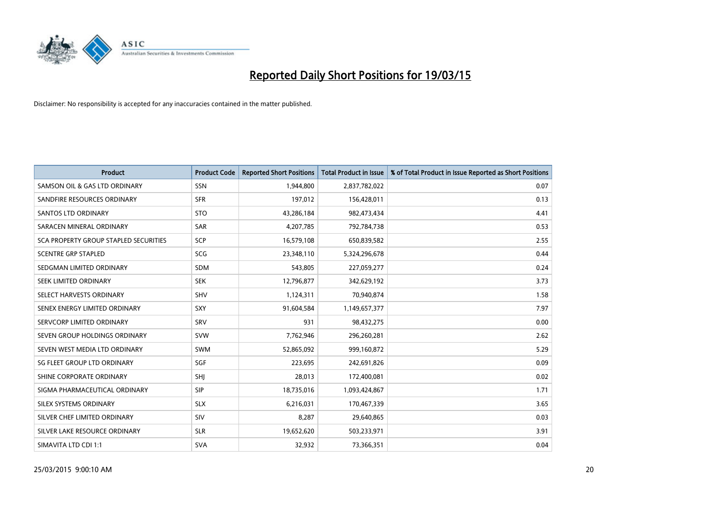

| <b>Product</b>                        | <b>Product Code</b> | <b>Reported Short Positions</b> | <b>Total Product in Issue</b> | % of Total Product in Issue Reported as Short Positions |
|---------------------------------------|---------------------|---------------------------------|-------------------------------|---------------------------------------------------------|
| SAMSON OIL & GAS LTD ORDINARY         | SSN                 | 1,944,800                       | 2,837,782,022                 | 0.07                                                    |
| SANDFIRE RESOURCES ORDINARY           | <b>SFR</b>          | 197,012                         | 156,428,011                   | 0.13                                                    |
| <b>SANTOS LTD ORDINARY</b>            | <b>STO</b>          | 43,286,184                      | 982,473,434                   | 4.41                                                    |
| SARACEN MINERAL ORDINARY              | <b>SAR</b>          | 4,207,785                       | 792,784,738                   | 0.53                                                    |
| SCA PROPERTY GROUP STAPLED SECURITIES | SCP                 | 16,579,108                      | 650,839,582                   | 2.55                                                    |
| <b>SCENTRE GRP STAPLED</b>            | SCG                 | 23,348,110                      | 5,324,296,678                 | 0.44                                                    |
| SEDGMAN LIMITED ORDINARY              | <b>SDM</b>          | 543,805                         | 227,059,277                   | 0.24                                                    |
| SEEK LIMITED ORDINARY                 | <b>SEK</b>          | 12,796,877                      | 342,629,192                   | 3.73                                                    |
| SELECT HARVESTS ORDINARY              | <b>SHV</b>          | 1,124,311                       | 70,940,874                    | 1.58                                                    |
| SENEX ENERGY LIMITED ORDINARY         | <b>SXY</b>          | 91,604,584                      | 1,149,657,377                 | 7.97                                                    |
| SERVCORP LIMITED ORDINARY             | SRV                 | 931                             | 98,432,275                    | 0.00                                                    |
| SEVEN GROUP HOLDINGS ORDINARY         | <b>SVW</b>          | 7,762,946                       | 296,260,281                   | 2.62                                                    |
| SEVEN WEST MEDIA LTD ORDINARY         | <b>SWM</b>          | 52,865,092                      | 999,160,872                   | 5.29                                                    |
| SG FLEET GROUP LTD ORDINARY           | SGF                 | 223,695                         | 242,691,826                   | 0.09                                                    |
| SHINE CORPORATE ORDINARY              | SHI                 | 28,013                          | 172,400,081                   | 0.02                                                    |
| SIGMA PHARMACEUTICAL ORDINARY         | <b>SIP</b>          | 18,735,016                      | 1,093,424,867                 | 1.71                                                    |
| SILEX SYSTEMS ORDINARY                | <b>SLX</b>          | 6,216,031                       | 170,467,339                   | 3.65                                                    |
| SILVER CHEF LIMITED ORDINARY          | SIV                 | 8,287                           | 29,640,865                    | 0.03                                                    |
| SILVER LAKE RESOURCE ORDINARY         | <b>SLR</b>          | 19,652,620                      | 503,233,971                   | 3.91                                                    |
| SIMAVITA LTD CDI 1:1                  | <b>SVA</b>          | 32,932                          | 73,366,351                    | 0.04                                                    |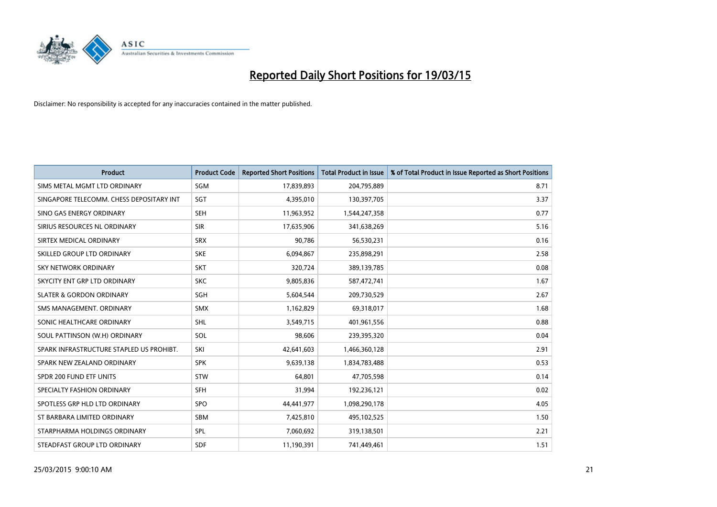

| <b>Product</b>                           | <b>Product Code</b> | <b>Reported Short Positions</b> | <b>Total Product in Issue</b> | % of Total Product in Issue Reported as Short Positions |
|------------------------------------------|---------------------|---------------------------------|-------------------------------|---------------------------------------------------------|
| SIMS METAL MGMT LTD ORDINARY             | <b>SGM</b>          | 17,839,893                      | 204,795,889                   | 8.71                                                    |
| SINGAPORE TELECOMM. CHESS DEPOSITARY INT | <b>SGT</b>          | 4,395,010                       | 130,397,705                   | 3.37                                                    |
| SINO GAS ENERGY ORDINARY                 | <b>SEH</b>          | 11,963,952                      | 1,544,247,358                 | 0.77                                                    |
| SIRIUS RESOURCES NL ORDINARY             | <b>SIR</b>          | 17,635,906                      | 341,638,269                   | 5.16                                                    |
| SIRTEX MEDICAL ORDINARY                  | <b>SRX</b>          | 90,786                          | 56,530,231                    | 0.16                                                    |
| SKILLED GROUP LTD ORDINARY               | <b>SKE</b>          | 6,094,867                       | 235,898,291                   | 2.58                                                    |
| SKY NETWORK ORDINARY                     | <b>SKT</b>          | 320,724                         | 389,139,785                   | 0.08                                                    |
| SKYCITY ENT GRP LTD ORDINARY             | <b>SKC</b>          | 9,805,836                       | 587,472,741                   | 1.67                                                    |
| <b>SLATER &amp; GORDON ORDINARY</b>      | <b>SGH</b>          | 5,604,544                       | 209,730,529                   | 2.67                                                    |
| SMS MANAGEMENT, ORDINARY                 | <b>SMX</b>          | 1,162,829                       | 69,318,017                    | 1.68                                                    |
| SONIC HEALTHCARE ORDINARY                | <b>SHL</b>          | 3,549,715                       | 401,961,556                   | 0.88                                                    |
| SOUL PATTINSON (W.H) ORDINARY            | SOL                 | 98,606                          | 239,395,320                   | 0.04                                                    |
| SPARK INFRASTRUCTURE STAPLED US PROHIBT. | SKI                 | 42,641,603                      | 1,466,360,128                 | 2.91                                                    |
| SPARK NEW ZEALAND ORDINARY               | <b>SPK</b>          | 9,639,138                       | 1,834,783,488                 | 0.53                                                    |
| SPDR 200 FUND ETF UNITS                  | <b>STW</b>          | 64,801                          | 47,705,598                    | 0.14                                                    |
| SPECIALTY FASHION ORDINARY               | SFH                 | 31,994                          | 192,236,121                   | 0.02                                                    |
| SPOTLESS GRP HLD LTD ORDINARY            | SPO                 | 44,441,977                      | 1,098,290,178                 | 4.05                                                    |
| ST BARBARA LIMITED ORDINARY              | <b>SBM</b>          | 7,425,810                       | 495,102,525                   | 1.50                                                    |
| STARPHARMA HOLDINGS ORDINARY             | SPL                 | 7,060,692                       | 319,138,501                   | 2.21                                                    |
| STEADFAST GROUP LTD ORDINARY             | <b>SDF</b>          | 11,190,391                      | 741,449,461                   | 1.51                                                    |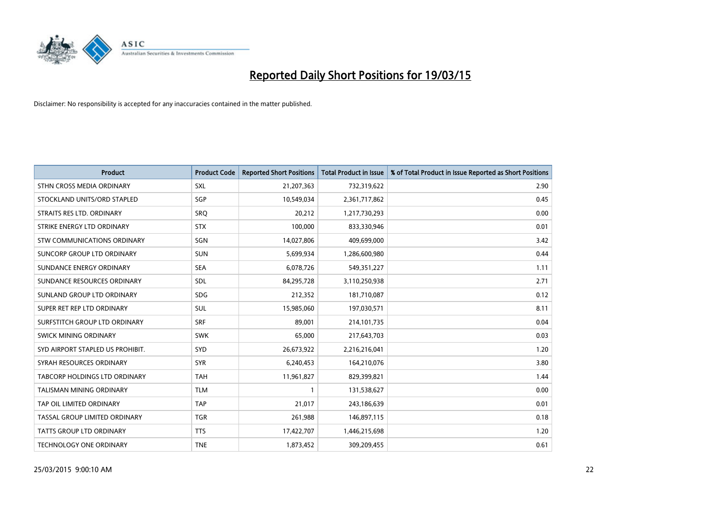

| <b>Product</b>                   | <b>Product Code</b> | <b>Reported Short Positions</b> | <b>Total Product in Issue</b> | % of Total Product in Issue Reported as Short Positions |
|----------------------------------|---------------------|---------------------------------|-------------------------------|---------------------------------------------------------|
| STHN CROSS MEDIA ORDINARY        | <b>SXL</b>          | 21,207,363                      | 732,319,622                   | 2.90                                                    |
| STOCKLAND UNITS/ORD STAPLED      | SGP                 | 10,549,034                      | 2,361,717,862                 | 0.45                                                    |
| STRAITS RES LTD. ORDINARY        | SRO                 | 20,212                          | 1,217,730,293                 | 0.00                                                    |
| STRIKE ENERGY LTD ORDINARY       | <b>STX</b>          | 100,000                         | 833,330,946                   | 0.01                                                    |
| STW COMMUNICATIONS ORDINARY      | SGN                 | 14,027,806                      | 409,699,000                   | 3.42                                                    |
| SUNCORP GROUP LTD ORDINARY       | <b>SUN</b>          | 5,699,934                       | 1,286,600,980                 | 0.44                                                    |
| SUNDANCE ENERGY ORDINARY         | <b>SEA</b>          | 6,078,726                       | 549,351,227                   | 1.11                                                    |
| SUNDANCE RESOURCES ORDINARY      | SDL                 | 84,295,728                      | 3,110,250,938                 | 2.71                                                    |
| SUNLAND GROUP LTD ORDINARY       | <b>SDG</b>          | 212,352                         | 181,710,087                   | 0.12                                                    |
| SUPER RET REP LTD ORDINARY       | <b>SUL</b>          | 15,985,060                      | 197,030,571                   | 8.11                                                    |
| SURFSTITCH GROUP LTD ORDINARY    | <b>SRF</b>          | 89,001                          | 214,101,735                   | 0.04                                                    |
| <b>SWICK MINING ORDINARY</b>     | <b>SWK</b>          | 65,000                          | 217,643,703                   | 0.03                                                    |
| SYD AIRPORT STAPLED US PROHIBIT. | <b>SYD</b>          | 26,673,922                      | 2,216,216,041                 | 1.20                                                    |
| SYRAH RESOURCES ORDINARY         | <b>SYR</b>          | 6,240,453                       | 164,210,076                   | 3.80                                                    |
| TABCORP HOLDINGS LTD ORDINARY    | <b>TAH</b>          | 11,961,827                      | 829,399,821                   | 1.44                                                    |
| TALISMAN MINING ORDINARY         | <b>TLM</b>          |                                 | 131,538,627                   | 0.00                                                    |
| TAP OIL LIMITED ORDINARY         | <b>TAP</b>          | 21,017                          | 243,186,639                   | 0.01                                                    |
| TASSAL GROUP LIMITED ORDINARY    | <b>TGR</b>          | 261,988                         | 146,897,115                   | 0.18                                                    |
| <b>TATTS GROUP LTD ORDINARY</b>  | <b>TTS</b>          | 17,422,707                      | 1,446,215,698                 | 1.20                                                    |
| TECHNOLOGY ONE ORDINARY          | <b>TNE</b>          | 1,873,452                       | 309,209,455                   | 0.61                                                    |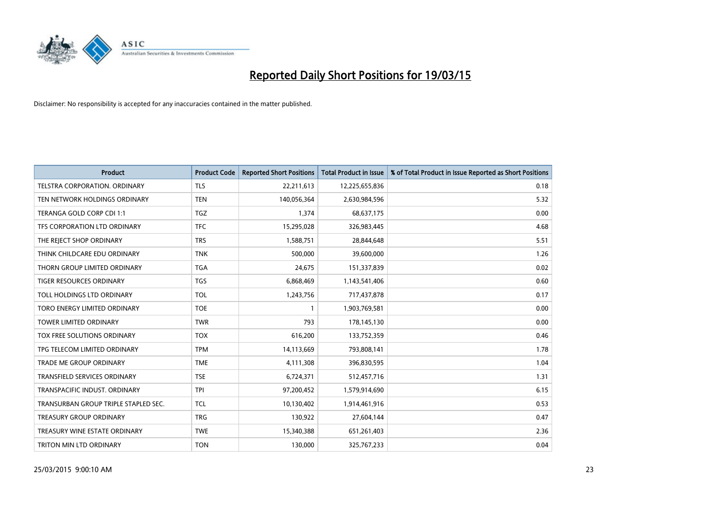

| <b>Product</b>                       | <b>Product Code</b> | <b>Reported Short Positions</b> | <b>Total Product in Issue</b> | % of Total Product in Issue Reported as Short Positions |
|--------------------------------------|---------------------|---------------------------------|-------------------------------|---------------------------------------------------------|
| <b>TELSTRA CORPORATION, ORDINARY</b> | <b>TLS</b>          | 22,211,613                      | 12,225,655,836                | 0.18                                                    |
| TEN NETWORK HOLDINGS ORDINARY        | <b>TEN</b>          | 140,056,364                     | 2,630,984,596                 | 5.32                                                    |
| TERANGA GOLD CORP CDI 1:1            | <b>TGZ</b>          | 1,374                           | 68,637,175                    | 0.00                                                    |
| TFS CORPORATION LTD ORDINARY         | <b>TFC</b>          | 15,295,028                      | 326,983,445                   | 4.68                                                    |
| THE REJECT SHOP ORDINARY             | <b>TRS</b>          | 1,588,751                       | 28,844,648                    | 5.51                                                    |
| THINK CHILDCARE EDU ORDINARY         | <b>TNK</b>          | 500,000                         | 39,600,000                    | 1.26                                                    |
| THORN GROUP LIMITED ORDINARY         | <b>TGA</b>          | 24,675                          | 151,337,839                   | 0.02                                                    |
| TIGER RESOURCES ORDINARY             | <b>TGS</b>          | 6,868,469                       | 1,143,541,406                 | 0.60                                                    |
| TOLL HOLDINGS LTD ORDINARY           | <b>TOL</b>          | 1,243,756                       | 717,437,878                   | 0.17                                                    |
| TORO ENERGY LIMITED ORDINARY         | <b>TOE</b>          | 1                               | 1,903,769,581                 | 0.00                                                    |
| <b>TOWER LIMITED ORDINARY</b>        | <b>TWR</b>          | 793                             | 178,145,130                   | 0.00                                                    |
| TOX FREE SOLUTIONS ORDINARY          | <b>TOX</b>          | 616,200                         | 133,752,359                   | 0.46                                                    |
| TPG TELECOM LIMITED ORDINARY         | <b>TPM</b>          | 14,113,669                      | 793,808,141                   | 1.78                                                    |
| <b>TRADE ME GROUP ORDINARY</b>       | <b>TME</b>          | 4,111,308                       | 396,830,595                   | 1.04                                                    |
| TRANSFIELD SERVICES ORDINARY         | <b>TSE</b>          | 6,724,371                       | 512,457,716                   | 1.31                                                    |
| TRANSPACIFIC INDUST, ORDINARY        | <b>TPI</b>          | 97,200,452                      | 1,579,914,690                 | 6.15                                                    |
| TRANSURBAN GROUP TRIPLE STAPLED SEC. | TCL                 | 10,130,402                      | 1,914,461,916                 | 0.53                                                    |
| TREASURY GROUP ORDINARY              | <b>TRG</b>          | 130,922                         | 27,604,144                    | 0.47                                                    |
| TREASURY WINE ESTATE ORDINARY        | <b>TWE</b>          | 15,340,388                      | 651,261,403                   | 2.36                                                    |
| TRITON MIN LTD ORDINARY              | <b>TON</b>          | 130,000                         | 325,767,233                   | 0.04                                                    |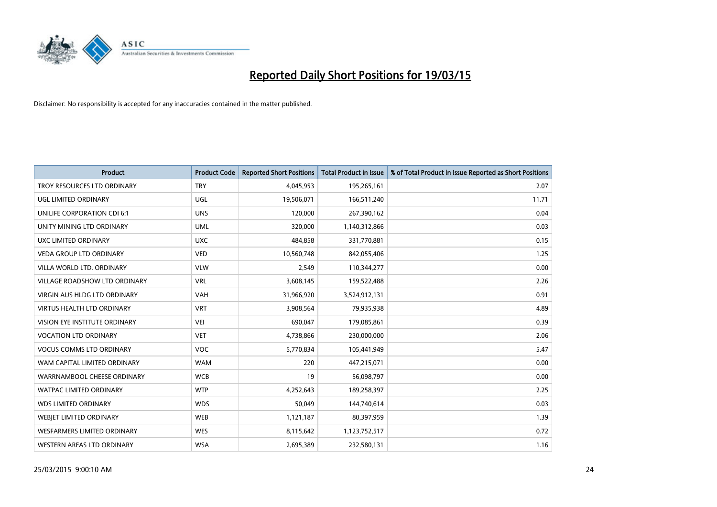

| <b>Product</b>                    | <b>Product Code</b> | <b>Reported Short Positions</b> | <b>Total Product in Issue</b> | % of Total Product in Issue Reported as Short Positions |
|-----------------------------------|---------------------|---------------------------------|-------------------------------|---------------------------------------------------------|
| TROY RESOURCES LTD ORDINARY       | <b>TRY</b>          | 4,045,953                       | 195,265,161                   | 2.07                                                    |
| UGL LIMITED ORDINARY              | UGL                 | 19,506,071                      | 166,511,240                   | 11.71                                                   |
| UNILIFE CORPORATION CDI 6:1       | <b>UNS</b>          | 120,000                         | 267,390,162                   | 0.04                                                    |
| UNITY MINING LTD ORDINARY         | <b>UML</b>          | 320,000                         | 1,140,312,866                 | 0.03                                                    |
| <b>UXC LIMITED ORDINARY</b>       | <b>UXC</b>          | 484,858                         | 331,770,881                   | 0.15                                                    |
| <b>VEDA GROUP LTD ORDINARY</b>    | <b>VED</b>          | 10,560,748                      | 842,055,406                   | 1.25                                                    |
| VILLA WORLD LTD, ORDINARY         | <b>VLW</b>          | 2,549                           | 110,344,277                   | 0.00                                                    |
| VILLAGE ROADSHOW LTD ORDINARY     | <b>VRL</b>          | 3,608,145                       | 159,522,488                   | 2.26                                                    |
| VIRGIN AUS HLDG LTD ORDINARY      | <b>VAH</b>          | 31,966,920                      | 3,524,912,131                 | 0.91                                                    |
| <b>VIRTUS HEALTH LTD ORDINARY</b> | <b>VRT</b>          | 3,908,564                       | 79,935,938                    | 4.89                                                    |
| VISION EYE INSTITUTE ORDINARY     | <b>VEI</b>          | 690,047                         | 179,085,861                   | 0.39                                                    |
| <b>VOCATION LTD ORDINARY</b>      | <b>VET</b>          | 4,738,866                       | 230,000,000                   | 2.06                                                    |
| <b>VOCUS COMMS LTD ORDINARY</b>   | <b>VOC</b>          | 5,770,834                       | 105,441,949                   | 5.47                                                    |
| WAM CAPITAL LIMITED ORDINARY      | <b>WAM</b>          | 220                             | 447,215,071                   | 0.00                                                    |
| WARRNAMBOOL CHEESE ORDINARY       | <b>WCB</b>          | 19                              | 56,098,797                    | 0.00                                                    |
| <b>WATPAC LIMITED ORDINARY</b>    | <b>WTP</b>          | 4,252,643                       | 189,258,397                   | 2.25                                                    |
| <b>WDS LIMITED ORDINARY</b>       | <b>WDS</b>          | 50,049                          | 144,740,614                   | 0.03                                                    |
| WEBJET LIMITED ORDINARY           | <b>WEB</b>          | 1,121,187                       | 80,397,959                    | 1.39                                                    |
| WESFARMERS LIMITED ORDINARY       | <b>WES</b>          | 8,115,642                       | 1,123,752,517                 | 0.72                                                    |
| WESTERN AREAS LTD ORDINARY        | <b>WSA</b>          | 2,695,389                       | 232,580,131                   | 1.16                                                    |